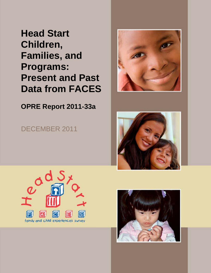**Head Start Children, Families, and Programs: Present and Past Data from FACES**

**OPRE Report 2011-33a**

DECEMBER 2011







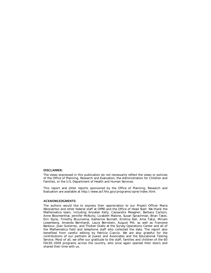#### DISCLAIMER:

The views expressed in this publication do not necessarily reflect the views or policies of the Office of Planning, Research and Evaluation, the Administration for Children and Families, or the U.S. Department of Health and Human Services.

This report and other reports sponsored by the Office of Planning, Research and Evaluation are available at http://www.acf.hhs.gov/programs/opre/index.html.

#### ACKNOWLEDGMENTS:

The authors would like to express their appreciation to our Project Officer Maria Woolverton and other federal staff at OPRE and the Office of Head Start. We thank the Mathematica team, including Annalee Kelly, Cassandra Meagher, Barbara Carlson, Anne Bloomenthal, Jennifer McNulty, Lizabeth Malone, Susan Sprachman, Brian Takei, Erin Slyne, Timothy Bruursema, Katherine Burnett, Kristina Rall, Ama Takyi, Miriam Lowenberg, Amanda Bernhardt, Laura Bernstein, August Pitt, as well as Francene Barbour, Joan Gutierrez, and Thidian Diallo at the Survey Operations Center and all of the Mathematica field and telephone staff who collected the data. The report also benefited from careful editing by Patricia Ciaccio. We are also grateful for the contributions of our partners at Juarez and Associates and the Educational Testing Service. Most of all, we offer our gratitude to the staff, families and children of the 60 FACES 2009 programs across the country, who once again opened their doors and shared their time with us.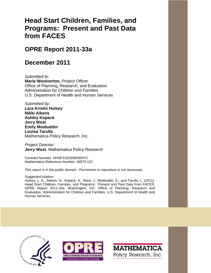# **Head Start Children, Families, and Programs: Present and Past Data from FACES**

**OPRE Report 2011-33a** 

## **December 2011**

*Submitted to:* **Maria Woolverton,** *Project Officer* Office of Planning, Research, and Evaluation Administration for Children and Families U.S. Department of Health and Human Services

*Submitted by:* **Lara Kristin Hulsey Nikki Aikens Ashley Kopack Jerry West Emily Moiduddin Louisa Tarullo** Mathematica Policy Research, Inc.

*Project Director:*  **Jerry West**, Mathematica Policy Research

Contract Number: HHSP23320092900YC Mathematica Reference Number: 06573.122

*This report is in the public domain. Permission to reproduce is not necessary.*

*Suggested citation:*  Hulsey, L. K., Aikens, N., Kopack, A., West, J., Moiduddin, E., and Tarullo, L. (2011). Head Start Children, Families, and Programs: Present and Past Data from FACES. OPRE Report 2011-33a. Washington, DC: Office of Planning, Research and Evaluation, Administration for Children and Families, U.S. Department of Health and Human Services.





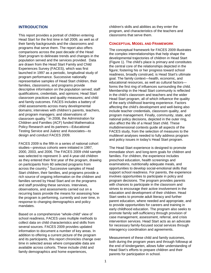## **INTRODUCTION**

<span id="page-3-0"></span>This report provides a portrait of children entering Head Start for the first time in fall 2009, as well as of their family backgrounds and the classrooms and programs that serve them. The report also offers comparisons across the past decade of the Head Start program to delineate trends and changes in the population served and the services provided. Data are drawn from the Head Start Family and Child Experiences Survey (FACES), which was first launched in 1997 as a periodic, longitudinal study of program performance. Successive nationally representative samples of Head Start children, their families, classrooms, and programs provide descriptive information on the population served; staff qualifications, credentials, and opinions; Head Start classroom practices and quality measures; and child and family outcomes. FACES includes a battery of child assessments across many developmental domains; interviews with children's parents, teachers, and program managers; and observations of classroom quality. $1$  In 2008, the Administration for Children and Families (ACF) funded Mathematica Policy Research and its partners—Educational Testing Service and Juárez and Associates—to design and conduct FACES 2009.

FACES 2009 is the fifth in a series of national cohort studies—previous cohorts were initiated in 1997, 2000, 2003, and 2006. The FACES 2009 child sample was selected to represent 3- and 4-year-old children as they entered their first year of the program, drawing on participants from 60 selected programs from across the country.<sup>2</sup> Successive samples of Head Start children, their families, and programs provide a rich source of ongoing information on the children and families served by Head Start and on the programs and staff providing these services. Interviews, observations, and assessments carried out on a recurring basis provide the means for assessing how the program is performing, currently and over time, in response to changing demographics and policy mandates.

Based on a comprehensive "whole-child" view of school readiness, FACES uses multiple methods to collect data on child characteristics and skills from several sources. FACES 2009 provides updated information to document a number of key areas. In addition to offering a current picture of the program and its participants, this report chronicles change over time in selected areas where comparable data are available across cohorts. These include child and family demographics and home experiences,

children's skills and abilities as they enter the program, and characteristics of the teachers and classrooms that serve them.

## **CONCEPTUAL MODEL AND FRAMEWORK**

The conceptual framework for FACES 2009 illustrates the complex interrelationships that help shape the developmental trajectories of children in Head Start (Figure 1). The child's place is primary and constitutes the central core of the relationships depicted in the figure; fostering his or her progress toward school readiness, broadly construed, is Head Start's ultimate goal. The family context—health, economic, and educational resources, as well as cultural factors forms the first ring of influences surrounding the child. Membership in the Head Start community is reflected in the child's classroom and teachers and the wider Head Start program, all of which influence the quality of the early childhood learning experience. Factors affecting the child's development and well-being also include teacher credentials, classroom quality, and program management. Finally, community, state, and national policy decisions, depicted in the outer ring, also affect the life of a Head Start child. These multidimensional contexts guide all aspects of the FACES study, from the selection of measures to the multilevel analyses needed to fully address program and policy issues in today's Head Start program.

The Head Start experience is designed to promote immediate short- and long-term goals for children and families. For children, the experience includes preschool education, health screenings and examinations, nutritionally adequate meals, and opportunities to develop social-emotional skills that support school readiness. For parents, the experience involves opportunities to participate in policy and program decisions. The program provides parents with chances to participate in the classroom and strives to encourage their active involvement in the education and development of their children. Head Start seeks to promote adult literacy and further parent education, where needed and appropriate, and to provide opportunities for careers and training in early childhood education. The program also seeks to promote family self-sufficiency through provision of case management, assessment, referral, and crisis intervention services. Head Start acts as an advocate for necessary family-focused social services through interagency coordination and agreements.

Measurement of these child and family outcomes, both during the program years and through followup at the end of kindergarten, allows fuller understanding of Head Start's efforts to prepare children and their parents for participation in school.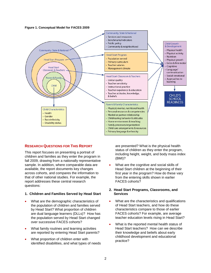



## **RESEARCH QUESTIONS FOR THIS REPORT**

This report focuses on presenting a portrait of children and families as they enter the program in fall 2009, drawing from a nationally representative sample. In addition, where comparable data are available, the report documents key changes across cohorts, and compares the information to that of other national studies. For example, the report addresses these central research questions:

## **1. Children and Families Served by Head Start**

- What are the demographic characteristics of the population of children and families served by Head Start? What proportion of children are dual language learners (DLLs)? How has the population served by Head Start changed over successive FACES cohorts?
- What family routines and learning activities are reported by entering Head Start parents?
- What proportion of children enter with identified disabilities, and what types of needs

are presented? What is the physical health status of children as they enter the program, including height, weight, and body mass index (BMI)?

• What are the cognitive and social skills of Head Start children at the beginning of their first year in the program? How do these vary from the entering skills shown in earlier FACES cohorts?

## **2. Head Start Programs, Classrooms, and Services**

- What are the characteristics and qualifications of Head Start teachers, and how do these characteristics compare to those of earlier FACES cohorts? For example, are average teacher education levels rising in Head Start?
- What is the reported mental health status of Head Start teachers? How can we describe their knowledge and beliefs about early childhood development and educational practice?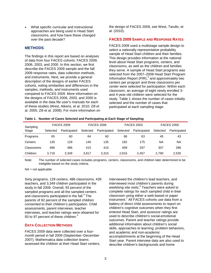• What specific curricular and instructional approaches are being used in Head Start classrooms, and how have these changed over the past decade?

## **METHODS**

The findings in this report are based on analyses of data from four FACES cohorts: FACES 2009, 2006, 2003, and 2000. In this section, we first describe the FACES 2009 sample and the fall 2009 response rates, data collection methods, and instruments. Next, we provide a general description of the designs of earlier FACES cohorts, noting similarities and differences in the samples, methods, and instruments used compared to FACES 2009. More information on the designs of FACES 2006, 2003, and 2000 is available in the data file user's manuals for each of these studies (West, Aikens, et al. 2010; Zill et al. 2005; Zill et al. 2008). For more information on the design of FACES 2009, see West, Tarullo, et al. (2010).

## **FACES 2009 SAMPLE AND RESPONSE RATES**

FACES 2009 used a multistage sample design to select a nationally representative probability sample of Head Start children and their families. This design provides information at the national level about Head Start programs, centers, and classrooms, as well as the children and families they serve. A sample of Head Start programs was selected from the 2007–2008 Head Start Program Information Report  $(PIR)$ ,  $3$  and approximately two centers per program and three classrooms per center were selected for participation. Within each classroom, an average of eight newly enrolled 3 and 4-year-old children were selected for the study. Table 1 shows the number of cases initially selected and the number of cases that participated at each sampling stage.

#### **Table 1. Number of Cases Selected and Participating at Each Stage of Sampling**

| Sampling<br>Stage | <b>FACES 2009</b> |              | <b>FACES 2006</b> |              | <b>FACES 2003</b> |              | <b>FACES 2000</b> |              |
|-------------------|-------------------|--------------|-------------------|--------------|-------------------|--------------|-------------------|--------------|
|                   | Selected          | Participated | Selected          | Participated | Selected          | Participated | Selected          | Participated |
| Programs          | 65                | 60           | 64                | 60           | 68                | 63           | 45                | 43           |
| Centers           | 130               | 129          | 140               | 135          | 182               | 175          | ΝA                | ΝA           |
| <b>Classrooms</b> | 486               | 486          | 415               | 410          | 409               | 337          | 307               | 286          |
| Children          | 3.718             | 3.349        | 3.817             | 3.315        | 2.816             | 2.457        | 2.790             | 2,535        |

Note: The number of selected cases includes programs, centers, classrooms, and children later determined to be ineligible based on the study criteria.

NA = not applicable

Sixty programs, 129 centers, 486 classrooms, 439 teachers, and 3,349 children participated in the study in fall 2009. Overall, 93 percent of the sampled programs and all the sampled centers and classrooms participated in the fall.<sup>4</sup> The parents of 92 percent of the sampled children consented to their children's participation. Child assessments, parent interviews, teacher interviews, and teacher ratings were obtained for 93 to 97 percent of these children.<sup>5</sup>

#### **DATA COLLECTION METHODS**

FACES 2009 data were collected over a fourmonth period in fall 2009 (September–December 2007). Mathematica data collection teams assessed the children at their Head Start centers, interviewed the children's lead teachers, and interviewed most children's parents during weeklong site visits.<sup>6</sup> Teachers were asked to complete ratings for each sampled child in their classroom using either a web-based or paper instrument.<sup>7</sup> All FACES cohorts use data from a battery of direct child assessments to report on children's cognitive outcomes when they first entered Head Start, and assessor ratings are used to describe children's social-emotional outcomes. Parent and teacher ratings provide additional information about children's social skills, approaches to learning, problem behaviors, and academic and non-academic accomplishments at the beginning of the Head Start year. Parent interview data are also used to describe children's backgrounds and home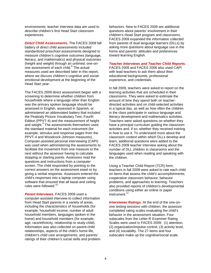environments; teacher interview data are used to describe children's first Head Start classroom experiences.

*Direct Child Assessments.* The FACES 2009 fall battery of direct child assessments included standardized preschool assessments designed to measure children's cognitive outcomes (language, literacy, and mathematics) and physical outcomes (height and weight) through an untimed, one-onone assessment of each child.<sup>8</sup> The actual measures used are described later in this report, where we discuss children's cognitive and socialemotional development at the beginning of the Head Start year.

The FACES 2009 direct assessment began with a screening to determine whether children from households where a language other than English was the primary spoken language should be assessed in English, assessed in Spanish, or administered an abbreviated battery that included the Peabody Picture Vocabulary Test, Fourth Edition (PPVT-4) and the measurement of height and weight.<sup>9</sup> The assessments themselves used the standard material for each instrument (for example, stimulus and response pages from the PPVT-4 and Woodcock-Johnson measures). Computer-assisted personal interviewing (CAPI) was used when administering the assessments to facilitate the movement from one measure to the next without the assessor having to calculate stopping or starting points. Assessors read the questions and instructions from a computer screen. The child responded by pointing to the correct answers on the assessment easel or by giving a verbal response. Assessors entered the child's responses into a laptop computer using software that ensured that all basal and ceiling rules were followed.10

**Parent Interviews.** FACES 2009 used a computer-assisted interview to collect information from Head Start parents in a variety of areas, including the characteristics of households (for example, household income, number of adult household members, languages spoken in the home) and household members (for example, age, race/ethnicity, relationship to study child). Information was also collected on parent-child relationships, aspects of the child's home life, children's child care arrangements, and parents' ratings of their children's social skills and problem behaviors. New to FACES 2009 are additional questions about parents' involvement in their children's Head Start program and classrooms. FACES 2009 expanded the information collected from parents of dual language learners (DLLs) by asking more questions about language use in the home and parents' attitudes and preferences toward learning English.

#### *Teacher Interviews and Teacher Child Reports.*

FACES 2009 and FACES 2006 also used CAPI with lead teachers to ask them about their educational backgrounds, professional experience, and credentials.

In fall 2009, teachers were asked to report on the learning activities that are scheduled in their classrooms. They were asked to estimate the amount of time they spend both on teacherdirected activities and on child-selected activities in a typical day, as well as how often the children in the class participate in various language and literacy development and mathematics activities. Teachers were asked questions on whether they have a principal curriculum guiding the classroom activities and, if so, whether they received training in how to use it. To understand more about the classroom context within which DLLs develop and learn, additional questions were added to the FACES 2009 teacher interview asking about the number of DLL children in classrooms and the languages used when reading and speaking with the children.

Using a Teacher Child Report (TCR) form, teachers in fall 2009 were asked to rate each child on items that assess the child's accomplishments, cooperative classroom behavior, behavior problems, and approaches to learning. Teachers also provided reports of children's developmental conditions using either an online or paper instrument.<sup>11</sup>

*Interviewer Ratings.* At the end of the one-onone testing sessions with children, the assessor completed rating scales evaluating the child's behavior in the assessment situation. Four subscales from the Leiter-R Examiner Rating Scales were used in FACES 2009: (1) attention, (2) organization/impulse control, (3) activity level, and (4) sociability. The 27 items and four subscales make up the cognitive/social scale.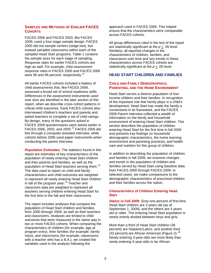## **SAMPLES AND METHODS OF EARLIER FACES COHORTS**

FACES 2006 and FACES 2003, like FACES 2009, used a four-stage sample design. FACES 2000 did not sample centers (stage two), but instead sampled classrooms within each of the sampled Head Start programs. Table 1 contains the sample sizes for each stage of sampling. Response rates for earlier FACES cohorts are high as well. For example, child assessment response rates in FACES 2000 and FACES 2006 were 90 and 96 percent, respectively.<sup>12</sup>

All earlier FACES cohorts included a battery of child assessments that, like FACES 2009, assessed a broad set of school readiness skills. Differences in the assessment instruments used over time are identified in the later section of this report, when we describe cross-cohort patterns in critical child outcomes. Early FACES cohorts also interviewed children's teachers and parents and asked teachers to complete a set of child ratings. By design, many of the questions asked in FACES 2009 questionnaires were asked earlier in FACES 2006, 2003, and 2000.<sup>13</sup> FACES 2006 did this through a computer-assisted interview, while cohorts before 2006 used paper instruments when conducting the parent interview.

**Population Estimates.** The statistics found in this report are estimates of key characteristics of the population of newly entering Head Start children and their parents and families, as well as the population of Head Start teachers serving them.<sup>14</sup> The data used to report on child and family characteristics and child outcomes are weighted to represent all newly entering Head Start children in fall of the program year.<sup>15</sup> Teacher and classroom data are weighted to represent all teachers serving children entering Head Start for the first time in the fall and their classrooms.

The report includes analyses that compare the population of Head Start children and families from 2000 through 2009, as well as their teachers and classrooms. Analyses are limited to child outcomes that were measured in the same way in two or more FACES cohorts. When comparing the characteristics of children (for example, age at program entry), their families (for example, family risks), and classrooms (for example, classrooms with a teacher who has a B.A.), we created the variables used in the analysis following the

approach used in FACES 2009. This helped ensure that the characteristics were comparable across FACES cohorts.

All group differences cited in the text of the report are statistically significant at the *p* < .05 level. Similarly, all reported changes in the characteristics of children, families, and classrooms over time and any trends in these characteristics across FACES cohorts are statistically significant at the  $p \leq .05$  level.

## **HEAD START CHILDREN AND FAMILIES**

#### **CHILD AND FAMILY DEMOGRAPHICS, PARENTING, AND THE HOME ENVIRONMENT**

Head Start serves a diverse population of lowincome children and their families. In recognition of the important role that family plays in a child's development, Head Start has made the family a cornerstone in its framework, and the FACES 2009 Parent Interview collected a wealth of information on the family and household environment of entering Head Start children. This section describes the population of children entering Head Start for the first time in fall 2009 and presents key findings on household demographic characteristics, the home learning environment and parenting practices, and health care and nutrition for this group of children.

In addition to describing the population of children and families in fall 2009, we examine changes and trends in the population of children and families served by Head Start using baseline data from FACES 2000 through FACES 2009. In selected cases, we make comparisons to the demographic characteristics of preschool children and their families across the nation.

#### **Characteristics of Children Entering Head Start**

*Status in Fall 2009.* Sixty-one percent of first-time Head Start children are 3 years old (as of September 1, 2009), and the others are 4 years old or older. The entering Head Start population is nearly evenly divided between boys and girls.

More than a third of Head Start children (36 percent) are Hispanic/Latino, and another third (33 percent) are African American (Figure 2).<sup>16</sup> Newly entering 3-year-olds are more likely than newly entering 4-year-olds to be African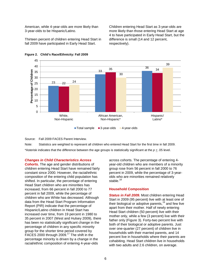American, while 4-year-olds are more likely than 3-year-olds to be Hispanic/Latino.

Thirteen percent of children entering Head Start in fall 2009 have participated in Early Head Start.

Children entering Head Start as 3-year-olds are more likely than those entering Head Start at age 4 to have participated in Early Head Start, but the difference is small (14 and 12 percent, respectively).



**Figure 2. Child's Race/Ethnicity: Fall 2009**

Source: Fall 2009 FACES Parent Interview.

Note: Statistics are weighted to represent all children who entered Head Start for the first time in fall 2009. \*Asterisk indicates that the difference between the age groups is statistically significant at the *p <* .05 level.

#### *Changes in Child Characteristics Across*

*Cohorts.* The age and gender distributions of children entering Head Start have remained fairly constant since 2000. However, the racial/ethnic composition of the entering child population has shifted. In particular, the percentage of entering Head Start children who are minorities has increased, from 66 percent in fall 2000 to 77 percent in fall 2009, while the percentage of children who are White has decreased. Although data from the Head Start Program Information Report (PIR) indicate that the percentage of Hispanic/Latino children in Head Start has increased over time, from 19 percent in 1980 to 35 percent in 2007 (West and Hulsey 2009), there has been no statistically significant change in the percentage of children in any specific minority group for the shorter time period covered by FACES 2000 through 2009.<sup>17</sup> The shift in the percentage minority is driven by a change in the racial/ethnic composition of entering 4-year-olds

across cohorts. The percentage of entering 4 year-old children who are members of a minority group rose from 56 percent in fall 2000 to 76 percent in 2009, while the percentage of 3-yearolds who are minorities remained relatively stable. $18$ 

#### **Household Composition**

**Status in Fall 2009.** Most children entering Head Start in 2009 (95 percent) live with at least one of their biological or adoptive parents, $19$  and few live apart from their mother. Half of newly entering Head Start children (50 percent) live with their mother only, while a few (3 percent) live with their father only (Figure 3). Forty-two percent live with both of their biological or adoptive parents. Just over one-quarter (27 percent) of children live in households with their married parents, and 14 percent live in households where their parents are cohabiting. Head Start children live in households with two adults and 2.6 children, on average.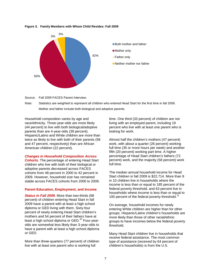

**Figure 3. Family Members with Whom Child Resides: Fall 2009**

Source: Fall 2009 FACES Parent Interview.

Note: Statistics are weighted to represent all children who entered Head Start for the first time in fall 2009. Mother and father include both biological and adoptive parents.

Household composition varies by age and race/ethnicity. Three-year-olds are more likely (44 percent) to live with both biological/adoptive parents than are 4-year-olds (39 percent). Hispanic/Latino and White children are more than twice as likely to live with both of their parents (58 and 47 percent, respectively) than are African American children (22 percent).

#### *Changes in Household Composition Across*

*Cohorts.* The percentage of entering Head Start children who live with both of their biological or adoptive parents decreased across FACES cohorts from 48 percent in 2000 to 42 percent in 2009. However, household size has remained stable across FACES cohorts from 2000 to 2009.

#### **Parent Education, Employment, and Income**

*Status in Fall 2009.* More than two-thirds (68 percent) of children entering Head Start in fall 2009 have a parent with at least a high school diploma or GED living with them. Sixty-four percent of newly entering Head Start children's mothers and 54 percent of their fathers have at least a high school diploma or GED.<sup>20</sup> Four-yearolds are somewhat less likely than 3-year-olds to have a parent with at least a high school diploma or GED.

More than three-quarters (77 percent) of children live with at least one parent who is working full

time. One third (33 percent) of children are not living with an employed parent, including 19 percent who live with at least one parent who is looking for work.

Almost half the children's mothers (47 percent) work, with about a quarter (26 percent) working full time (35 or more hours per week) and another fifth (20 percent) working part time. A higher percentage of Head Start children's fathers (72 percent) work, and the majority (58 percent) work full time.

The median annual household income for Head Start children in fall 2009 is \$22,714. More than 9 in 10 children live in households where the income is less than or equal to 185 percent of the federal poverty threshold, and 63 percent live in households where income is less than or equal to 100 percent of the federal poverty threshold. $21$ 

On average, household incomes for newly entering White children are higher than for other groups. Hispanic/Latino children's households are more likely than those of other racial/ethnic groups to have incomes below the federal poverty threshold.

Many Head Start children live in households that receive federal assistance. The most common type of assistance (received by 64 percent of children's households) is from the U.S.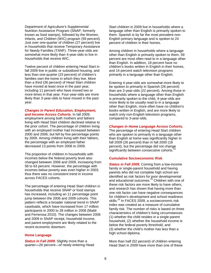Department of Agriculture's Supplemental Nutrition Assistance Program (SNAP, formerly known as food stamps), followed by the Women, Infants, and Children (WIC) program (59 percent). Just over one-quarter of children (27 percent) live in households that receive Temporary Assistance for Needy Families (TANF). Three-year-olds are somewhat more likely than 4-year-olds to live in households that receive WIC.

Twelve percent of children entering Head Start in fall 2009 live in public or subsidized housing, and less than one-quarter (23 percent) of children's families own the home in which they live. More than a third (36 percent) of Head Start children have moved at least once in the past year, including 11 percent who have moved two or more times in that year. Four-year-olds are more likely than 3-year-olds to have moved in the past year.

#### *Changes in Parent Education, Employment, and Income Across Cohorts.* In fall 2009,

employment among both mothers and fathers living with Head Start children declined relative to the prior cohort. The percentage of children living with an employed mother had increased between 2000 and 2006, but fell by five percentage points by 2009. Among children living with their fathers, the percentage with an employed father decreased 13 points from 2006 to 2009.

The proportion of children in households with incomes below the federal poverty level also changed between 2006 and 2009, increasing from 58 to 63 percent. However, the percentage with incomes below poverty was even higher in 2003; thus there was no consistent trend in income across FACES cohorts.

The percentage of entering Head Start children in households that receive SNAP or food stamps has increased, including an 11 percentage point jump between the 2006 and 2009 cohorts. This pattern reflects a broader national trend in SNAP caseloads, which have increased from 17 million participants in 2000 to 28 million in 2008 (Mabli and Ferrerosa 2010). The changes between 2006 and 2009 in SNAP receipt, household income, and parent employment are likely related to the recent economic downturn.

#### **Home Language**

*Status in Fall 2009.* Slightly more than a quarter**—**26 percent—of newly entering Head

Start children in 2009 live in households where a language other than English is primarily spoken to them. Spanish is by far the most prevalent non-English primary language and is spoken to 24 percent of children in their homes.

Among children in households where a language other than English is primarily spoken to them, 59 percent are most often read to in a language other than English. In addition, 18 percent have no children's books written in English in their homes, and 14 percent watch television programs primarily in a language other than English.

Entering 4-year-olds are somewhat more likely to be spoken to primarily in Spanish (26 percent) than are 3-year-olds (22 percent). Among those in households where a language other than English is primarily spoken to the child, 4-year-olds are more likely to be usually read to in a language other than English, more often have no children's books written in English, and are more likely to watch only non-English television programs, compared to 3-year-olds.

#### *Changes in Home Language Across Cohorts.*

The percentage of entering Head Start children who are spoken to primarily in a language other than English at home was significantly higher in fall 2009 (26 percent) than in fall 2000 (18 percent), but the percentage did not change significantly between consecutive cohorts.<sup>2</sup>

#### **Cumulative Socioeconomic Risk**

*Status in Fall 2009.* Coming from a low-income family or single-parent household and having parents who did not complete high school are identified as risk factors for poor developmental and educational outcomes.<sup>23</sup> Children with one of these risk factors are more likely to have others, and research has shown that having more than one risk factor can have negative consequences for children's development and school readiness skills.<sup>24</sup> In FACES 2009, a socioeconomic risk index was created as a measure of cumulative family risk. The number of risks is based on three characteristics of children's living circumstances: (1) whether the child resides in a single-parent household, (2) whether the household income is below the federal poverty threshold, and (3) whether the child's mother has less than a high school diploma.

More than half (52 percent) of children entering Head Start in 2009 have more than one of these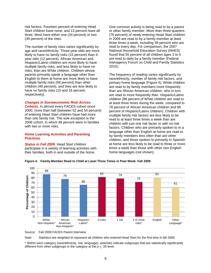risk factors. Fourteen percent of entering Head Start children have none, and 13 percent have all three. Most have either one (34 percent) or two (39 percent) of the risks.

The number of family risks varies significantly by age and race/ethnicity. Three-year-olds are more likely to have no family risks (15 percent) than 4 year-olds (12 percent). African American and Hispanic/Latino children are more likely to have multiple family risks, and less likely to have no risks, than are White children. Children whose parents primarily speak a language other than English to them at home are more likely to have multiple family risks (59 percent) than other children (49 percent), and they are less likely to have no family risks (10 and 16 percent, respectively).

#### *Changes in Socioeconomic Risk Across*

*Cohorts.* In almost every FACES cohort since 2000, more than half (between 52 and 54 percent) of entering Head Start children have had more than one family risk. The sole exception is the 2006 cohort, in which 48 percent were in families with two or more risks.

#### **Home Learning Activities and Parenting Practices**

*Status in Fall 2009.* Head Start children participate in a variety of learning activities with their families, both in and outside of the home.

One common activity is being read to by a parent or other family member. More than three-quarters (76 percent) of newly entering Head Start children in 2009 are read to by a family member at least three times a week, including 39 percent who are read to every day. For comparison, the 2007 National Household Education Survey (NHES) found that 55 percent of all children ages 3 to 5 are read to daily by a family member (Federal Interagency Forum on Child and Family Statistics 2010).

The frequency of reading varies significantly by race/ethnicity, number of family risk factors, and primary home language (Figure 4). White children are read to by family members more frequently than are African American children, who in turn are read to more frequently than Hispanic/Latino children (88 percent of White children are read to at least three times during the week, compared to 78 percent of African American children and 66 percent of Hispanic/Latino children). Children with multiple family risk factors are less likely to be read to at least three times a week than are children with just one risk factor or with no risk factors. Children who are primarily spoken to in a language other than English at home are read to by family members less often than are other children, and those spoken to primarily in Spanish at home are less likely to be read to three or more times a week than those with other non-English home languages (not shown).

**Figure 4. Family Member Read to Child at Least Three Times in Past Week: Fall 2009**





Note: Statistics are weighted to represent all children who entered Head Start for the first time in fall 2009.

\* Within each category (race/ethnicity, risk, language), asterisks indicate subgroups that are statistically significantly different from other subgroups in the category at the  $p \leq 0.05$  level.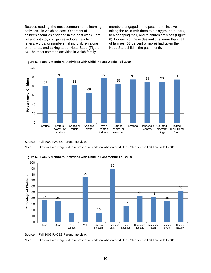Besides reading, the most common home learning activities—in which at least 90 percent of children's families engaged in the past week—are playing with toys or games indoors; teaching letters, words, or numbers; taking children along on errands; and talking about Head Start (Figure 5). The most common activities in which family

members engaged in the past month involve taking the child with them to a playground or park, to a shopping mall, and to church activities (Figure 6). For each of these destinations, more than half of families (53 percent or more) had taken their Head Start child in the past month.



**Figure 5. Family Members' Activities with Child in Past Week: Fall 2009**

Note: Statistics are weighted to represent all children who entered Head Start for the first time in fall 2009.

![](_page_12_Figure_6.jpeg)

**Figure 6. Family Members' Activities with Child in Past Month: Fall 2009**

Source: Fall 2009 FACES Parent Interview.

Note: Statistics are weighted to represent all children who entered Head Start for the first time in fall 2009.

Source: Fall 2009 FACES Parent Interview.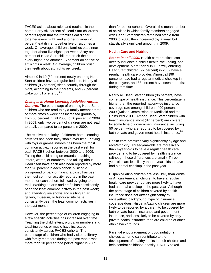FACES asked about rules and routines in the home. Forty-six percent of Head Start children's parents report that their families eat dinner together every night, and another quarter (25 percent) eat dinner together five or six times a week. On average, children's families eat dinner together about five nights per week. Sixty-one percent of Head Start children brush their teeth every night, and another 16 percent do so five or six nights a week. On average, children brush their teeth about six nights per week.

Almost 9 in 10 (89 percent) newly entering Head Start children have a regular bedtime. Nearly all children (95 percent) sleep soundly through the night, according to their parents, and 92 percent wake up full of energy. $^{25}$ 

#### *Changes in Home Learning Activities Across*

*Cohorts.* The percentage of entering Head Start children who are read to by a family member three or more times a week has increased gradually, from 66 percent in fall 2000 to 76 percent in 2009. In 2009, only two percent of children are not read to at all, compared to six percent in 2000.

The relative popularity of different home learning activities has been fairly stable over time. Playing with toys or games indoors has been the most common activity reported in the past week for each FACES cohort between 2000 and 2009. Taking the child along on errands; teaching letters, words, or numbers; and talking about Head Start have each also been reported by more than 90 percent in each cohort. Visiting a playground or park or having a picnic has been the most common activity reported in the past month for each cohort, followed by going to the mall. Working on arts and crafts has consistently been the least common activity in the past week; and attending live shows and visiting an art gallery, museum, or historical site have consistently been the least common activities in the past month.

However, the percentage of children engaging in a few specific activities has increased over time. Teaching the child letters, words, or numbers and teaching songs or music have increased consistently across FACES cohorts. The percentage of children who had visited a library with family members during the past month was more than 10 percentage points higher in 2009

than for earlier cohorts. Overall, the mean number of activities in which family members engaged with Head Start children remained stable from 2000 to 2006, then increased (by a small but statistically significant amount) in 2009.

#### **Health Care and Nutrition**

**Status in Fall 2009.** Health care practices can directly influence a child's health, well-being, and development. More than 9 in 10 newly entering Head Start children (92 percent) in 2009 have a regular health care provider. Almost all (99 percent) have had a regular medical checkup in the past year, and 88 percent have seen a dentist during that time.

Nearly all Head Start children (96 percent) have some type of health insurance. This percentage is higher than the reported nationwide insurance coverage rate among children of 90 percent in 2009 (Kaiser Commission on Medicaid and the Uninsured 2011). Among Head Start children with health insurance, most (87 percent) are covered by some type of government insurance, including 50 percent who are reported to be covered by both private and government health insurance.<sup>26</sup>

Health care practices vary significantly by age and race/ethnicity. Three-year-olds are more likely than 4-year-olds to have a regular health care provider and to be covered by health insurance (although these differences are small). Threeyear-olds are less likely than 4-year-olds to have had a dental checkup in the past year.

Hispanic/Latino children are less likely than White or African American children to have a regular health care provider but are more likely to have had a dental checkup in the past year. Although the percentage of children covered by health insurance does not differ significantly by racial/ethnic background, type of insurance coverage does. Hispanic/Latino children are more likely to be reported by a parent to be covered by both private health insurance and government insurance, and less likely to be covered by only private health insurance than are children of other ethnic backgrounds.

Parental encouragement of good nutritional choices at home can contribute to the development of healthy habits in their children and help combat childhood obesity. FACES asked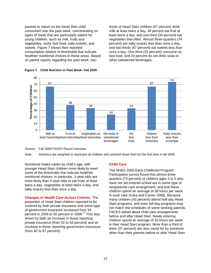parents to report on the foods their child consumed over the past week, concentrating on types of foods that are particularly salient for young children, such as milk, fruits and vegetables, soda, fast food, salty snacks, and sweets. Figure 7 shows their reported consumption relative to thresholds that indicate healthier nutritional choices in these areas. Based on parent reports regarding the past week, twothirds of Head Start children (67 percent) drink milk at least twice a day, 38 percent eat fruit at least twice a day, and one-third (34 percent) eat vegetables that often. Almost three-quarters (74 percent) eat salty snacks less than once a day, and two-thirds (67 percent) eat sweets less than once a day. One-third (33 percent) consume no fast food, and 24 percent do not drink soda or other sweetened beverages.

![](_page_14_Figure_2.jpeg)

**Figure 7. Child Nutrition in Past Week: Fall 2009**

Source: Fall 2009 FACES Parent Interview.

Note: Statistics are weighted to represent all children who entered Head Start for the first time in fall 2009.

Nutritional intake varies by child's age, with younger Head Start children more likely to meet some of the thresholds that indicate healthier nutritional choices. In particular, 3-year-olds are more likely than 4-year-olds to eat fruits at least twice a day, vegetables at least twice a day, and salty snacks less than once a day.

*Changes in Health Care Across Cohorts.* The proportion of Head Start children reported to be covered by both private insurance and some type of government insurance increased from 33 percent in 2006 to 50 percent in 2009.<sup>27</sup> This was driven by both an increase in those reporting private insurance (from 52 to 63 percent) and an increase in those reporting government insurance (from 82 to 87 percent).

#### **Child Care**

The NHES 2005 Early Childhood Program Participation survey found that almost threequarters (73 percent) of children ages 3 to 5 who have not yet entered school are in some type of nonparental care arrangement, and that these children spend an average of 28 hours per week in such care (Iruka and Carver 2006). Because many children (43 percent) attend half-day Head Start programs, and even full-day programs may not match the schedules of some working parents, FACES asked about child care arrangements before and after Head Start. Newly entering children spend an average of 25 hours per week in their Head Start program. More than a third of them (37 percent) are also cared for by someone other than their parents before or after Head Start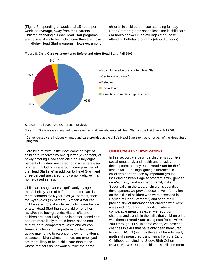(Figure 8), spending an additional 15 hours per week, on average, away from their parents. Children attending full-day Head Start programs are no less likely to be in child care than are those in half-day Head Start programs. However, among children in child care, those attending full-day Head Start programs spend less time in child care (14 hours per week, on average) than those attending half-day programs (about 16 hours).

![](_page_15_Figure_2.jpeg)

**Figure 8. Child Care Arrangements Before and After Head Start: Fall 2009**

Source: Fall 2009 FACES Parent Interview.

Note: Statistics are weighted to represent all children who entered Head Start for the first time in fall 2009.

<sub>a</sub><br>Center-based care includes wraparound care provided at the child's Head Start site that is not part of the Head Start program.

Care by a relative is the most common type of child care, received by one-quarter (25 percent) of newly entering Head Start children. Only eight percent of children are cared for in a center-based program (including wraparound care provided at the Head Start site) in addition to Head Start, and three percent are cared for by a non-relative in a home-based setting.

Child care usage varies significantly by age and race/ethnicity. Use of before- and after-care is more common for 4-year-olds (41 percent) than for 3-year-olds (35 percent). African American children are more likely to be in child care before or after Head Start than are children of other racial/ethnic backgrounds. Hispanic/Latino children are least likely to be in center-based care and are more likely to be in home-based nonrelative care, compared to White and African American children. The patterns of child care usage may relate to parent employment patterns, because children whose mothers are employed are more likely to be in child care than those whose mothers do not work outside the home.

#### **CHILD COGNITIVE DEVELOPMENT**

In this section, we describe children's cognitive, social-emotional, and health and physical development as they enter Head Start for the first time in fall 2009, highlighting differences in children's performance by important groups, including children's age at program entry, gender, race/ethnicity, and number of family risks.<sup>2</sup> Specifically, in the area of children's cognitive development, we provide descriptive information on the skills of children who were assessed in English at Head Start entry and separately provide similar information for children who were assessed in Spanish. In addition, where comparable measures exist, we report on changes and trends in the skills that children bring with them to Head Start, using data from FACES 2000 through 2009. In some cases, we describe changes in skills that have only been measured twice in FACES (such as the set of broader early math skills measured using items from the Early Childhood Longitudinal Study, Birth Cohort (ECLS–B). We report on children's skills on norm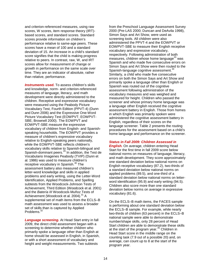and criterion-referenced measures, using raw scores, W scores, item response theory (IRT) based scores, and standard scores. Standard scores provide information on children's performance relative to same-age peers. These scores have a mean of 100 and a standard deviation of 15. An increase in a child's standard score signifies that the child is making progress relative to peers. In contrast, raw, W, and IRT scores allow for measurement of change or growth in performance on the same scale over time. They are an indicator of absolute, rather than relative, performance.

*Instruments used.* To assess children's skills and knowledge, norm- and criterion-referenced measures of language, literacy, and math development were directly administered to the children. Receptive and expressive vocabulary were measured using the Peabody Picture Vocabulary Test, Fourth Edition (PPVT-4) (Dunn and Dunn 2006) and the Expressive One-Word Picture Vocabulary Test (EOWPVT; EOWPVT-SBE; Brownell 2000). The EOWPVT and EOWPVT-SBE measure the expressive vocabulary of children from English- and Spanishspeaking households. The EOWPVT provides a measure of children's expressive vocabulary relative to English-speaking peers nationally, while the EOWPVT-SBE reflects children's vocabulary skills relative to Spanish-bilingual and Spanish-dominant peers. <sup>29</sup> In addition, the Test de Vocabulario Imagenes Peabody (TVIP) (Dunn et al. 1986) was used to measure children's receptive vocabulary in Spanish.<sup>30</sup> The assessment battery also measured children's letter-word knowledge and skills in applied problems and early writing, using the Letter-Word Identification, Applied Problems, and Spelling subtests from the Woodcock-Johnson Tests of Achievement, Third Edition (Woodcock et al. 2001) and the *Batería III* Woodcock-Muñoz Tests of Achievement (Woodcock et al. 2004).<sup>31</sup> A supplemental set of math items from the ECLS–B math assessment was used to assess a broader set of skills than is captured by Applied Problems.<sup>32</sup>

*Language screening.* At Head Start entry in fall 2009, the direct child assessment began with a screening to determine whether children who primarily spoke a language other than English at home should be assessed in English, in Spanish, or with a short assessment of vocabulary and height and weight measurements. Two subtests

from the Preschool Language Assessment Survey 2000 (Pre-LAS 2000; Duncan and DeAvila 1998), Simon Says and Art Show, were used as screening tools. All children were also administered the PPVT-4 and the EOWPVT or EOWPVT-SBE to measure their English receptive vocabulary and expressive vocabulary, respectively. Following administration of both measures, children whose home language $33$  was Spanish and who made five consecutive errors on Simon Says and Art Show were then routed to the Spanish-language cognitive assessment.<sup>3</sup> Similarly, a child who made five consecutive errors on both the Simon Says and Art Show and primarily spoke a language other than English or Spanish was routed out of the cognitive assessment following administration of the vocabulary measures and was weighed and measured for height. Children who passed the screener and whose primary home language was a language other English received the cognitive assessment battery in English. Those from homes in which English was primarily spoken were administered the cognitive assessment battery in English, regardless of their scores on the language screener. Table 2 presents the routing procedures for the assessment based on a child's home language and performance on the screener.

#### *Status in Fall 2009: Children Assessed in*

*English.* On average, children entering Head Start for the first time in fall 2009 score below national norms on measures of language, literacy, and math development. They score approximately one standard deviation below national norms on English receptive vocabulary (87.2), two-thirds of a standard deviation below national norms on applied problems (89.5), and one-third of a standard deviation below national norms on letterword identification (95.9) and early writing (94.5). Children also score more than one standard deviation below norms on average in expressive vocabulary (81.6).

On the ECLS–B math items, the FACES sample is performing about one standard deviation below the ECLS–B sample. For example, while nearly two-thirds of children (63 percent) in the ECLS–B national sample were able to demonstrate number/shape skills, only 28 percent of Head Start children are able to demonstrate these skills at the start of the program year.<sup>35</sup> Children in Head Start score in the middle range on the counting task (7.9 out of a possible 20) and, on average, can count up to 8 at the start of the program year.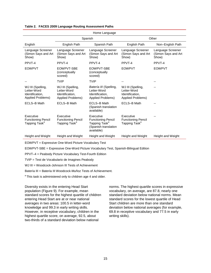| Home Language                                                            |                                                                          |                                                                                                           |                                                                          |                                                   |  |
|--------------------------------------------------------------------------|--------------------------------------------------------------------------|-----------------------------------------------------------------------------------------------------------|--------------------------------------------------------------------------|---------------------------------------------------|--|
|                                                                          | Spanish                                                                  |                                                                                                           | Other                                                                    |                                                   |  |
| English                                                                  | <b>English Path</b>                                                      | Spanish Path                                                                                              | English Path                                                             | Non-English Path                                  |  |
| Language Screener<br>(Simon Says and Art<br>Show)                        | Language Screener<br>(Simon Says and Art<br>Show)                        | Language Screener<br>(Simon Says and Art<br>Show)                                                         | Language Screener<br>(Simon Says and Art<br>Show)                        | Language Screener<br>(Simon Says and Art<br>Show) |  |
| PPVT-4                                                                   | PPVT-4                                                                   | PPVT-4                                                                                                    | PPVT-4                                                                   | PPVT-4                                            |  |
| <b>EOWPVT</b>                                                            | EOWPVT-SBE<br>(conceptually<br>scored)                                   | EOWPVT-SBE<br>(conceptually<br>scored)                                                                    | <b>EOWPVT</b>                                                            | <b>EOWPVT</b>                                     |  |
|                                                                          | <b>TVIP</b>                                                              | <b>TVIP</b>                                                                                               |                                                                          |                                                   |  |
| WJ III (Spelling,<br>Letter-Word<br>Identification,<br>Applied Problems) | WJ III (Spelling,<br>Letter-Word<br>Identification,<br>Applied Problems) | Batería III (Spelling,<br>Letter-Word<br>Identification,<br>Applied Problems)                             | WJ III (Spelling,<br>Letter-Word<br>Identification,<br>Applied Problems) |                                                   |  |
| <b>ECLS-B Math</b>                                                       | <b>ECLS-B Math</b>                                                       | <b>ECLS-B Math</b><br>(Spanish translation<br>available)                                                  | <b>ECLS-B Math</b>                                                       |                                                   |  |
| Executive<br><b>Functioning Pencil</b><br>Tapping Task <sup>a</sup>      | Executive<br><b>Functioning Pencil</b><br>Tapping Task <sup>a</sup>      | Executive<br><b>Functioning Pencil</b><br>Tapping Task <sup>a</sup><br>(Spanish translation<br>available) | Executive<br><b>Functioning Pencil</b><br>Tapping Task <sup>a</sup>      |                                                   |  |
| Height and Weight                                                        | Height and Weight                                                        | Height and Weight                                                                                         | Height and Weight                                                        | Height and Weight                                 |  |

#### **Table 2. FACES 2009 Language Routing Assessment Paths**

EOWPVT = Expressive One-Word Picture Vocabulary Test

EOWPVT-SBE = Expressive One-Word Picture Vocabulary Test, Spanish-Bilingual Edition

PPVT–4 = Peabody Picture Vocabulary Test-Fourth Edition

TVIP = Test de Vocabulario de Imagines Peabody

WJ III = Woodcock-Johnson III Tests of Achievement

Batería III = Batería III Woodcock-Muñoz Tests of Achievement.

a This task is administered only to children age 4 and older.

Diversity exists in the entering Head Start population (Figure 9). For example, mean standard scores for the highest quartile of children entering Head Start are at or near national averages in two areas: 100.5 in letter-word knowledge and 99.3 in early writing skills. However, in receptive vocabulary, children in the highest quartile score, on average, 92.5, about two-thirds of a standard deviation below national

norms. The highest quartile scores in expressive vocabulary, on average, are 87.8, nearly one standard deviation below national norms. Mean standard scores for the lowest quartile of Head Start children are more than one standard deviation below national averages (for example, 69.8 in receptive vocabulary and 77.5 in early writing skills).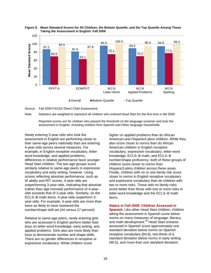![](_page_18_Figure_0.jpeg)

![](_page_18_Figure_1.jpeg)

Source: Fall 2009 FACES Direct Child Assessment.

Note: Statistics are weighted to represent all children who entered Head Start for the first time in fall 2009.

Reported scores are for children who passed the threshold on the language screener and took the assessment in English, including children from Spanish and Other language households.

Newly entering 3-year-olds who took the assessment in English are performing closer to their same-age peers nationally than are entering 4-year-olds across several measures. For example, in English receptive vocabulary, letterword knowledge, and applied problems, differences in relative performance favor younger Head Start children. The two age groups score similarly relative to same-age peers in expressive vocabulary and early writing, however. Using scores reflecting absolute performance, such as W ability and IRT scores, 4-year-olds are outperforming 3-year-olds, indicating that absolute (rather than age-normed) performance of 4-yearolds exceeds that of 3-year-olds. Similarly, on the ECLS–B math items, 4-year-olds outperform 3 year-olds. For example, 4-year-olds are more than twice as likely to have mastered the number/shape skill set (44 versus 17 percent).

Relative to same-age peers, newly entering girls who are assessed in English perform better than boys on letter-word knowledge, early writing, and applied problems. Girls also are more likely than boys to demonstrate number and shape skills. There are no gender differences in receptive or expressive vocabulary. White children score

higher on applied problems than do African American and Hispanic/Latino children. While they also score closer to norms than do African American children in English receptive vocabulary, expressive vocabulary, letter-word knowledge, ECLS–B math, and ECLS–B number/shape proficiency, both of these groups of children score closer to norms than Hispanic/Latino children across these areas. Finally, children with no or one family risk score closer to norms in English receptive vocabulary and expressive vocabulary than do children with two or more risks. Those with no family risks score better than those with one or more risks in letter-word knowledge and the ECLS–B math items.

#### *Status in Fall 2009: Children Assessed in*

*Spanish.* Like other Head Start children, children taking the assessment in Spanish score below norms on many measures of language, literacy, and math development.<sup>36</sup> Head Start entrants assessed in Spanish score approximately one standard deviation below norms on Spanish receptive vocabulary (84.8), two-thirds of a standard deviation below norms in early writing (90.5), and more than one standard deviation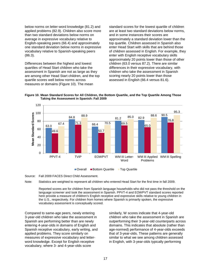below norms on letter-word knowledge (81.2) and applied problems (82.9). Children also score more than two standard deviations below norms on average in expressive vocabulary relative to English-speaking peers (66.4) and approximately one standard deviation below norms in expressive vocabulary relative to Spanish-speaking peers (86.3).

Differences between the highest and lowest quartiles of Head Start children who take the assessment in Spanish are not as large as they are among other Head Start children, and the top quartile scores well below norms across measures or domains (Figure 10). The mean

standard scores for the lowest quartile of children are at least two standard deviations below norms, and in some instances their scores are approximately a standard deviation lower than the top quartile. Children assessed in Spanish also enter Head Start with skills that are behind those of children assessed in English. For example, they enter with English receptive vocabulary skills approximately 20 points lower than those of other children (63.0 versus 87.2). There are similar differences in their expressive vocabulary, with children who take the assessment in Spanish scoring nearly 20 points lower than those assessed in English (66.4 versus 81.6).

![](_page_19_Figure_3.jpeg)

![](_page_19_Figure_4.jpeg)

![](_page_19_Figure_5.jpeg)

Source: Fall 2009 FACES Direct Child Assessment.

Note: Statistics are weighted to represent all children who entered Head Start for the first time in fall 2009.

Reported scores are for children from Spanish language households who did not pass the threshold on the language screener and took the assessment in Spanish. PPVT-4 and EOWPVT standard scores reported here provide a measure of children's English receptive and expressive skills relative to young children in the U.S., respectively. For children from homes where Spanish is primarily spoken, the expressive vocabulary assessment is conceptually scored.

Compared to same-age peers, newly entering 3-year-old children who take the assessment in Spanish are performing better than are newly entering 4-year-olds in domains of English and Spanish receptive vocabulary, early writing, and applied problems. They score similarly on measures of expressive vocabulary and letterword knowledge. Except for English receptive vocabulary, where 3- and 4-year-olds score

similarly, W scores indicate that 4-year-old children who take the assessment in Spanish are outperforming their 3-year-old counterparts across domains. This indicates that absolute (rather than age-normed) performance of 4-year-olds exceeds that of 3-year-olds. These patterns are generally similar to what we see among children assessed in English, with 3-year-olds typically performing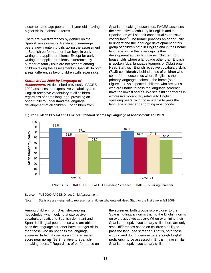closer to same-age peers, but 4-year-olds having higher skills in absolute terms.

There are two differences by gender on the Spanish assessments. Relative to same-age peers, newly entering girls taking the assessment in Spanish perform better than boys in early writing and applied problems. Except for early writing and applied problems, differences by number of family risks are not present among children taking the assessment in Spanish. In both areas, differences favor children with fewer risks.

#### *Status in Fall 2009 by Language of*

*Assessment.* As described previously, FACES 2009 assesses the expressive vocabulary and English receptive vocabulary of all children regardless of home language, providing an opportunity to understand the language development of all children. For children from

Spanish-speaking households, FACES assesses their receptive vocabulary in English and in Spanish, as well as their conceptual expressive vocabulary.<sup>37</sup> The former provides an opportunity to understand the language development of this group of children both in English and in their home language, while the latter depicts their development across languages. Children from households where a language other than English is spoken (dual language learners or DLLs) enter Head Start with English receptive vocabulary skills (71.5) considerably behind those of children who come from households where English is the primary language spoken in the home (88.8; Figure 11). As expected, children who are DLLs who are unable to pass the language screener have the lowest scores. We see similar patterns in expressive vocabulary relative to English speaking peers, with those unable to pass the language screener performing most poorly.

![](_page_20_Figure_5.jpeg)

![](_page_20_Figure_6.jpeg)

Source: Fall 2009 FACES Direct Child Assessment.

Note: Statistics are weighted to represent all children who entered Head Start for the first time in fall 2009.

Among children from Spanish-speaking households, when looking at expressive vocabulary relative to Spanish-dominant and Spanish-bilingual peers, those who are able to pass the language screener have stronger skills than those who do not pass the language screener. In fact, those passing the screener score near norms (98.3) relative to Spanishspeaking peers.<sup>38</sup> Regardless of performance on the screener, both groups score closer to the Spanish-bilingual norms than to the English norms on expressive vocabulary. When examining their Spanish receptive vocabulary skills, there are only small differences based on children's ability to pass the language screener. That is, both those who do and do not demonstrate enough English proficiency to be assessed in English have similar Spanish receptive vocabulary skills.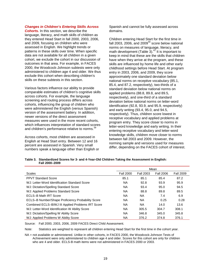#### *Changes in Children's Entering Skills Across*

*Cohorts.* In this section, we describe the language, literacy, and math skills of children as they entered Head Start in fall 2000, 2003, 2006, and 2009, focusing on children who were assessed in English. We highlight trends or patterns in these skills over time. When specific data are not available for all children in a given cohort, we exclude the cohort in our discussion of outcomes in that area. For example, in FACES 2000, the Woodcock-Johnson subtests were only administered to children age 4 and older. We thus exclude this cohort when describing children's skills on these subtests in this section.

Various factors influence our ability to provide comparable estimates of children's cognitive skills across cohorts. For example, the language screening and routing process differs across cohorts, influencing the group of children who were administered the English (versus Spanish) version of the assessment battery. In addition, newer versions of the direct assessment measures were used in the more recent cohorts, which influences interpretation of standard scores and children's performance relative to norms.<sup>39</sup>

Across cohorts, most children are assessed in English at Head Start entry. Between 12 and 16 percent are assessed in Spanish. Very small numbers speak a language other than English or Spanish and cannot be fully assessed across domains.

Children entering Head Start for the first time in fall 2003, 2006, and  $2009<sup>40</sup>$  score below national norms on measures of language, literacy, and math development (Table 3). $4<sup>1</sup>$  It is important to keep in mind that these are the skills that children have when they arrive at the program, and these skills are influenced by home life and other early childhood settings before Head Start. At program entry in 2003, 2006, and 2009, they score approximately one standard deviation below national norms on receptive vocabulary (85.1, 85.4, and 87.2, respectively), two-thirds of a standard deviation below national norms on applied problems (88.8, 89.8, and 89.5, respectively), and one-third of a standard deviation below national norms on letter-word identification (92.8, 93.9, and 95.9, respectively) and early writing (93.4, 95.0, and 94.5, respectively). Thus, children score lowest in receptive vocabulary and applied problems at program entry. They score closer to norms in letter-word knowledge and early writing. In their entering receptive vocabulary and letter-word knowledge skills, children move closer to norms between fall 2003 and 2009. However, the norming sample and versions used for measures differ, depending on the FACES cohort of interest.

#### **Table 3. Standardized Scores for 3- and 4-Year-Old Children Taking the Assessment in English: Fall 2000–2009**

|                                                   | Mean             |                  |                  |                  |
|---------------------------------------------------|------------------|------------------|------------------|------------------|
| <b>Scales</b>                                     | <b>Fall 2000</b> | <b>Fall 2003</b> | <b>Fall 2006</b> | <b>Fall 2009</b> |
| <b>PPVT Standard Score</b>                        | 85.1             | 85.1             | 85.4             | 87.2             |
| WJ: Letter-Word Identification Standard Score     | NA.              | 92.8             | 93.9             | 95.9             |
| WJ: Dictation/Spelling Standard Score             | NA.              | 93.4             | 95.0             | 94.5             |
| WJ: Applied Problems Standard Score               | NA.              | 88.8             | 89.8             | 89.5             |
| <b>ECLS-B Math IRT Score</b>                      | <b>NA</b>        | <b>NA</b>        | 7.4              | 6.9              |
| ECLS-B Number/Shape Proficiency Probability Score | NА               | <b>NA</b>        | 0.25             | 0.28             |
| Combined ECLS-B/WJ III Applied Problems IRT Score | <b>NA</b>        | <b>NA</b>        | 14.0             | 13.6             |
| WJ: Letter-Word Identification W Ability Score    | <b>NA</b>        | 305.5            | 304.7            | 308.1            |
| WJ: Dictation/Spelling W Ability Score            | <b>NA</b>        | 346.8            | 345.0            | 345.8            |
| WJ: Applied Problems W Ability Score              | <b>NA</b>        | 376.2            | 374.8            | 376.1            |

Source: Fall 2000, 2003, 2006, 2009 FACES Direct Child Assessment.

Note: Statistics are weighted to represent all children entering Head Start for the first time in the cohort year.

NA = not available or administered. Unlike in other cohorts, in FACES 2000, the Woodcock-Johnson Tests of Achievement were only administered to children age 4 and older. Scores for this cohort are only for children who are 4 and older. ECLS-B math items were not administered in FACES 2000 or 2003.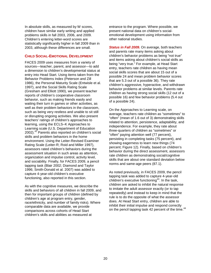In absolute skills, as measured by W scores, children have similar early writing and applied problems skills in fall 2003, 2006, and 2009. Children's entering letter-word scores are statistically significantly higher in fall 2009 than in 2003, although these differences are small.

## **CHILD SOCIAL-EMOTIONAL DEVELOPMENT**

FACES 2009 uses measures from a variety of sources—teacher, parent, and assessor—to add a dimension to children's developmental status at entry into Head Start. Using items taken from the Behavior Problems Index (Peterson and Zill 1986), the Personal Maturity Scale (Entwisle et al. 1997), and the Social Skills Rating Scale (Gresham and Elliott 1990), we present teacher reports of children's cooperative classroom behavior, such as making friends easily and waiting their turn in games or other activities, as well as their problem behaviors in the classroom, such as being very restless and unable to sit still or disrupting ongoing activities. We also present teachers' ratings of children's approaches to learning, using the ECLS–K Approaches to Learning scale (U.S. Department of Education 2002).<sup>42</sup> Parents also reported on children's social skills and problem behaviors in the home environment. Using the Leiter-Revised Examiner Rating Scale (Leiter-R; Roid and Miller 1997), assessors rated children's behaviors during the assessment situation in such areas as attention, organization and impulse control, activity level, and sociability. Finally, for FACES 2009, a pencil tapping task (Blair 2002; Diamond and Taylor 1996; Smith-Donald et al. 2007) was added to capture 4-year-old children's executive functioning, also reported in this section.

As with the cognitive measures, we describe the skills and behaviors of all children in fall 2009, and then for important groups of children (defined by children's age at program entry, gender, race/ethnicity, and number of family risks). Where comparable data are available, we provide comparisons across cohorts of Head Start children's skills and abilities as measured at

entrance to the program. Where possible, we present national data on children's socialemotional development using information from other national studies.

**Status in Fall 2009.** On average, both teachers and parents rate many items asking about children's behavior problems as being "not true" and items asking about children's social skills as being "very true." For example, at Head Start entry, teachers rate children as having mean social skills scores that are about 15 out of a possible 24 and mean problem behavior scores that are 5.3 out of a possible 36). They rate children's aggressive, hyperactive, and withdrawn behavior problems at similar levels. Parents rate children as having strong social skills (12 out of a possible 16) and few behavior problems (5.4 out of a possible 24).

On the Approaches to Learning scale, on average, teachers rate children as "sometimes" to "often" (mean of 1.6 out of 3) demonstrating skills related to attention, persistence, adaptability, and independence. For example, they rate about three-quarters of children as "sometimes" or "often" paying attention well (77 percent), persisting in completing tasks (75 percent), and showing eagerness to learn new things (74 percent; Figure 12). Finally, based on children's behavior during the direct assessment, assessors rate children as demonstrating social/cognitive skills that are about one standard deviation below norms and same-age peers (87.1).

As noted previously, in FACES 2009, the pencil tapping task was added to capture 4-year-old children's executive functioning<sup>43</sup>. In the task, children are asked to inhibit the natural response to imitate the adult assessor exactly (or to tap repeatedly) and instead to keep in mind that the rule is to do the opposite of what the assessor does. At Head Start entry, children are able to inhibit their initial impulse and respond correctly on the pencil tapping task 42 percent of the time.<sup>44</sup>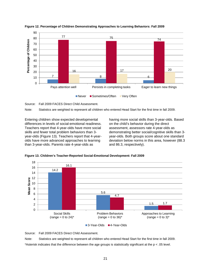![](_page_23_Figure_0.jpeg)

**Figure 12. Percentage of Children Demonstrating Approaches to Learning Behaviors: Fall 2009**

Source: Fall 2009 FACES Direct Child Assessment.

Note: Statistics are weighted to represent all children who entered Head Start for the first time in fall 2009.

Entering children show expected developmental differences in levels of social-emotional readiness. Teachers report that 4-year-olds have more social skills and fewer total problem behaviors than 3 year-olds (Figure 13). Teachers report that 4-yearolds have more advanced approaches to learning than 3-year-olds. Parents rate 4-year-olds as

having more social skills than 3-year-olds. Based on the child's behavior during the direct assessment, assessors rate 4-year-olds as demonstrating better social/cognitive skills than 3 year-olds. Both groups score about one standard deviation below norms in this area, however (88.3 and 86.3, respectively).

![](_page_23_Figure_6.jpeg)

**Figure 13. Children's Teacher-Reported Social-Emotional Development: Fall 2009**

Source: Fall 2009 FACES Direct Child Assessment.

Note: Statistics are weighted to represent all children who entered Head Start for the first time in fall 2009. \*Asterisk indicates that the difference between the age groups is statistically significant at the  $p < .05$  level.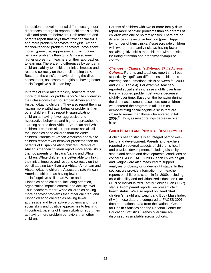In addition to developmental differences, gender differences emerge in reports of children's social skills and problem behaviors. Both teachers and parents report that boys have fewer social skills and more problem behaviors than girls. Among teacher-reported problem behaviors, boys show more hyperactive, aggressive, and withdrawn behavior problems than girls. Girls also earn higher scores from teachers on their approaches to learning. There are no differences by gender in children's ability to inhibit their initial impulse and respond correctly on the pencil tapping task. Based on the child's behavior during the direct assessment, assessors rate girls as having better social/cognitive skills than boys.

In terms of child race/ethnicity, teachers report more total behavior problems for White children in their classrooms than for African American and Hispanic/Latino children. They also report them as having more withdrawn behavior problems than other children. They report Hispanic/Latino children as having fewer aggressive and hyperactive behaviors and higher approaches to learning scores than African American and White children. Teachers also report more social skills for Hispanic/Latino children than for White children. Parents of African American and White children report fewer behavior problems than do parents of Hispanic/Latino children. Parents of African American children report more social skills than do parents of Hispanic/Latino and White children. White children are better able to inhibit their initial impulse and respond correctly on the pencil tapping task than are African American and Hispanic/Latino children. Assessors rate African American children as having fewer social/cognitive skills than White and Hispanic/Latino children, including attention, organization/impulse control, and activity level. Thus, teachers report White children as having more behavior problems than other children, and Hispanic/Latino children as having fewer aggressive and hyperactive problems and more social skills and positive approaches to learning. In contrast, parents of Hispanic/Latino report them as having more problem behaviors than other children.

Parents of children with two or more family risks report more behavior problems than do parents of children with one or no family risks. There are no differences in executive function (pencil tapping) by number of family risks. Assessors rate children with two or more family risks as having fewer social/cognitive skills than children with no risks. including attention and organization/impulse control.

#### *Changes in Children's Entering Skills Across*

**Cohorts.** Parents and teachers report small but statistically significant differences in children's entering social-emotional skills between fall 2000 and 2009 (Table 4). For example, teacherreported social skills increase slightly over time. Parent-reported problem behaviors decrease slightly over time. Based on the behavior during the direct assessment, assessors rate children who entered the program in fall 2006 as demonstrating social/cognitive skills that are closer to norms than those who entered in fall 2009.<sup>45</sup> Thus, assessor ratings decrease over time.

#### **CHILD HEALTH AND PHYSICAL DEVELOPMENT**

A child's health status is an integral part of wellbeing and development. Parents and teachers reported on several aspects of children's health and physical development, including disability status and health and developmental conditions or concerns. As in FACES 2006, each child's height and weight were also measured to support analyses of obesity or underweight status. In this section, we provide information from teacher reports on children's status in fall 2009, including child disability and Individualized Education Plan (IEP) or Individualized Family Service Plan (IFSP) status. From parent reports, we present child health status. We also report on Head Start children's height and weight and Body Mass Index (BMI); these data are compared to FACES 2006 data and national data from the National Center for Health Statistics and the National Center for Education Statistics. Trends over time are discussed as available across cohorts.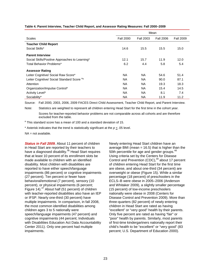|                                                       | Mean             |                  |                  |                  |
|-------------------------------------------------------|------------------|------------------|------------------|------------------|
| <b>Scales</b>                                         | <b>Fall 2000</b> | <b>Fall 2003</b> | <b>Fall 2006</b> | <b>Fall 2009</b> |
| <b>Teacher Child Report</b>                           |                  |                  |                  |                  |
| Social Skills*                                        | 14.6             | 15.5             | 15.5             | 15.0             |
| <b>Parent Interview</b>                               |                  |                  |                  |                  |
| Social Skills/Positive Approaches to Learning*        | 12.1             | 15.7             | 11.9             | 12.0             |
| Total Behavior Problems*                              | 6.2              | 4.4              | 5.8              | 5.4              |
| <b>Assessor Rating</b>                                |                  |                  |                  |                  |
| Leiter Cognitive/ Social Raw Score*                   | <b>NA</b>        | <b>NA</b>        | 54.6             | 51.4             |
| Leiter Cognitive/ Social Standard Score <sup>a*</sup> | <b>NA</b>        | <b>NA</b>        | 90.0             | 87.1             |
| Attention                                             | <b>NA</b>        | <b>NA</b>        | 19.3             | 18.3             |
| Organization/Impulse Control*                         | <b>NA</b>        | <b>NA</b>        | 15.4             | 14.5             |
| Activity Level*                                       | <b>NA</b>        | <b>NA</b>        | 8.1              | 7.4              |
| Sociability*                                          | <b>NA</b>        | ΝA               | 11.9             | 11.2             |

## **Table 4. Parent Interview, Teacher Child Report, and Assessor Rating Measures: Fall 2000–2009**

Source: Fall 2000, 2003, 2006, 2009 FACES Direct Child Assessment, Teacher Child Report, and Parent Interview.

Note: Statistics are weighted to represent all children entering Head Start for the first time in the cohort year.

Scores for teacher-reported behavior problems are not comparable across all cohorts and are therefore excluded from the table.

<sup>a</sup> This standard score has a mean of 100 and a standard deviation of 15.

\* Asterisk indicates that the trend is statistically significant at the *p <* .05 level.

 $NA = not available.$ 

**Status in Fall 2009.** About 11 percent of children in Head Start are reported by their teachers to have a diagnosed disability.<sup>46</sup> Head Start requires that at least 10 percent of its enrollment slots be made available to children with an identified disability. Most children with disabilities are reported to have either speech/language impairments (86 percent) or cognitive impairments (27 percent). Ten percent or fewer have behavioral/emotional (7 percent), sensory (10 percent), or physical impairments (6 percent; Figure 14).<sup>47</sup> About half (51 percent) of children with teacher-reported disabilities also have an IEP or IFSP. Nearly one-third (30 percent) have multiple impairments. In comparison, in fall 2008, the most common identified disabilities among children ages 3 to 5 nationally were speech/language impairments (47 percent) and cognitive impairments (44 percent; Individuals with Disabilities Education Act Data Accountability Center 2011). Only one percent had multiple impairments.

Newly entering Head Start children have an average BMI (mean  $= 16.5$ ) that is higher than the 50th percentile for age and gender groups.<sup>48</sup> Using criteria set by the Centers for Disease Control and Prevention (CDC), <sup>49</sup> about 17 percent of children entering Head Start for the first time are obese, and about one-third (34 percent) are overweight or obese (Figure 15). While a similar percentage (18 percent) of preschoolers in the ECLS–B were obese in 2005–2006 (Anderson and Whitaker 2009), a slightly smaller percentage (15 percent) of low-income preschoolers nationally were obese in 2008 (Centers for Disease Control and Prevention 2009). More than three-quarters (82 percent) of newly entering children in Head Start are rated as having "excellent" or "very good" health by their parents. Only five percent are rated as having "fair" or "poor" health by parents. Similarly, most parents of first-time kindergartners nationally report their child's health to be "excellent" or "very good" (83 percent; U.S. Department of Education 2000).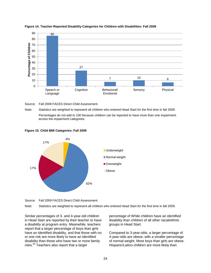![](_page_26_Figure_0.jpeg)

#### **Figure 14. Teacher-Reported Disability Categories for Children with Disabilities: Fall 2009**

Source: Fall 2009 FACES Direct Child Assessment.

Note: Statistics are weighted to represent all children who entered Head Start for the first time in fall 2009.

Percentages do not add to 100 because children can be reported to have more than one impairment across the impairment categories.

![](_page_26_Figure_5.jpeg)

![](_page_26_Figure_6.jpeg)

Source: Fall 2009 FACES Direct Child Assessment.

Note: Statistics are weighted to represent all children who entered Head Start for the first time in fall 2009.

Similar percentages of 3- and 4-year-old children in Head Start are reported by their teacher to have a disability at program entry. Meanwhile, teachers report that a larger percentage of boys than girls have an identified disability, and that those with no or one risk are more likely to have an identified disability than those who have two or more family risks.<sup>50</sup> Teachers also report that a larger

percentage of White children have an identified disability than children of all other racial/ethnic groups in Head Start.

Compared to 3-year-olds, a larger percentage of 4-year-olds are obese, with a smaller percentage of normal weight. More boys than girls are obese. Hispanic/Latino children are more likely than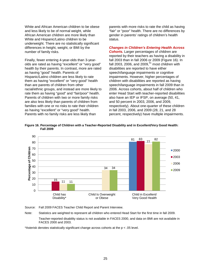White and African American children to be obese and less likely to be of normal weight, while African American children are more likely than White and Hispanic/Latino children to be underweight. There are no statistically significant differences in height, weight, or BMI by the number of family risks.

Finally, fewer entering 4-year-olds than 3-yearolds are rated as having "excellent" or "very good" health by their parents. In contrast, more are rated as having "good" health. Parents of Hispanic/Latino children are less likely to rate them as having "excellent" or "very good" health than are parents of children from other racial/ethnic groups, and instead are more likely to rate them as having "good" and "fair/poor" health. Parents of children with two or more family risks are also less likely than parents of children from families with one or no risks to rate their children as having "excellent" or "very good" health. Parents with no family risks are less likely than

parents with more risks to rate the child as having "fair" or "poor" health. There are no differences by gender in parents' ratings of children's health status.

#### *Changes in Children's Entering Health Across*

**Cohorts.** Larger percentages of children are reported by their teachers as having a disability in fall 2003 than in fall 2006 or 2009 (Figure 16). In fall 2003, 2006, and 2009,<sup>51</sup> most children with disabilities are reported to have either speech/language impairments or cognitive impairments. However, higher percentages of children with disabilities are reported as having speech/language impairments in fall 2009 than in 2006. Across cohorts, about half of children who enter Head Start with teacher-reported disabilities also have an IEP or IFSP, on average (50, 41, and 50 percent in 2003, 2006, and 2009, respectively). About one-quarter of these children in fall 2003, 2006, and 2009 (28, 21, and 28 percent, respectively) have multiple impairments.

![](_page_27_Figure_5.jpeg)

![](_page_27_Figure_6.jpeg)

Source: Fall 2009 FACES Teacher Child Report and Parent Interview.

Note: Statistics are weighted to represent all children who entered Head Start for the first time in fall 2009.

Teacher-reported disability status is not available in FACES 2000, and data on BMI are not available in FACES 2000 and 2003.

\*Asterisk denotes statistically significant change across cohorts at the p < .05 level.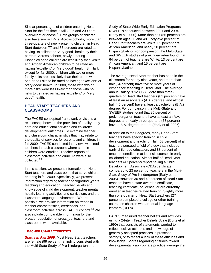Similar percentages of children entering Head Start for the first time in fall 2006 and 2009 are overweight or obese.<sup>52</sup> Both groups of children also have similar BMIs. Across cohorts, more than three-quarters of newly entering children in Head Start (between 77 and 83 percent) are rated as having "excellent" or "very good" health by their parents. Across cohorts, newly entering Hispanic/Latino children are less likely than White and African American children to be rated as having "excellent" or "very good" health. Similarly, except for fall 2000, children with two or more family risks are less likely than their peers with one or no risks to be rated as having "excellent" or "very good" health. In 2000, those with two or more risks were less likely than those with no risks to be rated as having "excellent" or "very good" health.

## **HEAD START TEACHERS AND CLASSROOMS**

The FACES conceptual framework envisions a relationship between the provision of quality early care and educational services and children's developmental outcomes. To examine teacher and classroom characteristics that may relate to the quality of services for parents and children, in fall 2009, FACES conducted interviews with lead teachers in each classroom where sample children were enrolled. Teacher reports of classroom activities and curricula were also collected.<sup>53</sup>

In this section, we present information on Head Start teachers and classrooms that serve children entering in fall 2009. Specifically, we present information regarding teacher background (years teaching and education), teacher beliefs and knowledge of child development, teacher mental health, learning activities and curriculum, and the classroom language environment. Where possible, we provide information on trends in teacher characteristics, credentials, and classroom activities across FACES cohorts.<sup>54</sup> We also include comparable information for the broader population of preschool teachers and classrooms when available.<sup>55</sup>

## **TEACHER CHARACTERISTICS**

*Status in Fall 2009.* Most Head Start teachers are female (99 percent), a finding consistent with the Multi-State Study of Pre-Kindergarten and

Study of State-Wide Early Education Programs (SWEEP) conducted between 2001 and 2004 (Early et al. 2005). More than half (55 percent) are between ages 30 and 49. Forty-five percent of Head Start teachers are White, 32 percent are African American, and nearly 20 percent are Hispanic/Latino. For comparison, the Multi-State and SWEEP studies of prekindergarten found that 64 percent of teachers are White, 13 percent are African American, and 15 percent are Hispanic/Latino.

The average Head Start teacher has been in the classroom for nearly nine years, and more than half (64 percent) have five or more years of experience teaching in Head Start. The average annual salary is \$28,127. More than threequarters of Head Start teachers (81 percent) have at least an associate's (A.A.) degree, and almost half (46 percent) have at least a bachelor's (B.A.) degree. For comparison, the Multi-State and SWEEP studies found that 85 percent of prekindergarten teachers have at least an A.A. degree, and nearly three-quarters (73 percent) have a B.A. degree or more (Early et al. 2005).

In addition to their degrees, many Head Start teachers have specific training in child development and teaching. Half (53 percent) of all teachers pursued a field of study that included early childhood education, and 88 percent of teachers enrolled in at least six courses in early childhood education. Almost half of Head Start teachers (47 percent) report having a Child Development Associate (CDA) certificate, compared to 23 percent of teachers in the Multi-State Study of Pre-Kindergarten (Early et al. 2005). Between 30 and 40 percent of Head Start teachers have a state-awarded certificate, teaching certificate, or license, or are currently enrolled in teacher-related training. Slightly more than one-quarter of Head Start teachers (27 percent) completed a college or other training course on children who are dual language learners (DLLs).

FACES measured teacher beliefs and attitudes using a 24-item Teacher Beliefs Scale (Burts et al. 1990) that consists of statements worded to reflect positive attitudes and knowledge of generally accepted practices in preschool settings, or to reflect a lack of these attitudes and knowledge. Scores regarding attitudes toward developmentally appropriate practice average 7.9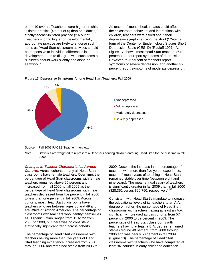out of 10 overall. Teachers score higher on childinitiated practice (4.5 out of 5) than on didactic, strictly teacher-initiated practice (2.6 out of 5). Teachers scoring higher on developmentally appropriate practice are likely to endorse such items as "Head Start classroom activities should be responsive to individual differences in development" and to disagree with such items as "Children should work silently and alone on seatwork."

As teachers' mental health status could affect their classroom behaviors and interactions with children, teachers were asked about their depressive symptoms using the short (12-item) form of the Center for Epidemiologic Studies Short Depression Scale (CES–D) (Radloff 1997). As Figure 17 shows, most Head Start teachers (64 percent) do not report symptoms of depression. However, four percent of teachers report symptoms of severe depression, and another six percent report symptoms of moderate depression.

![](_page_29_Figure_2.jpeg)

**Figure 17. Depressive Symptoms Among Head Start Teachers: Fall 2009**

Source: Fall 2009 FACES Teacher Interview.

Note: Statistics are weighted to represent all teachers serving children entering Head Start for the first time in fall 2009.

#### *Changes in Teacher Characteristics Across*

*Cohorts.* Across cohorts, nearly all Head Start classrooms have female teachers. Over time, the percentage of Head Start classrooms with female teachers remained above 95 percent and increased from fall 2000 to fall 2009 as the percentage of Head Start classrooms with male teachers decreased from five percent in fall 2000 to less than one percent in fall 2009. Across cohorts, most Head Start classrooms have teachers who are between ages 30 and 49 and are White or African American. The percentage of classrooms with teachers who identify themselves as Hispanic/Latino ranged from 15 to 22 from 2000 to 2009, but there was no consistent statistically significant trend across cohorts.

The percentage of Head Start classrooms with teachers having more than five years of Head Start teaching experience increased from 2000 through 2006 and remained stable from 2006 to 2009. Despite the increase in the percentage of teachers with more than five years' experience, teachers' mean years of teaching in Head Start remained stable over time (between eight and nine years). The mean annual salary of teachers is significantly greater in fall 2009 than in fall 2000  $(S28,352 \text{ versus } $20,750, \text{ respectively})$ .<sup>56</sup>

Consistent with Head Start's mandate to increase the educational levels of its teachers to an A.A. degree or higher, the percentage of Head Start classrooms with teachers having at least an A.A. significantly increased across cohorts, from 57 percent in 2000 to 82 percent in 2009. The percentage of Head Start classrooms with teachers having at least a B.A. degree remained stable (around 40 percent) from 2000 through 2006 and was nearly 50 percent in fall 2009 (Figure 18). The percentage of Head Start classrooms with teachers who have completed at least six courses in early childhood education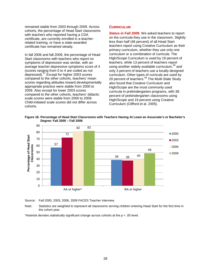remained stable from 2003 through 2009. Across cohorts, the percentage of Head Start classrooms with teachers who reported having a CDA certificate, are currently enrolled in a teacherrelated training, or have a state-awarded certificate has remained steady.

In fall 2006 and fall 2009, the percentage of Head Start classrooms with teachers who report no symptoms of depression was similar, with an average teacher depressive symptoms score of 4 (scores ranging from 0 to 4 are coded as not depressed).<sup>57</sup> Except for higher 2003 scores compared to the other cohorts, teachers' mean scores regarding attitudes toward developmentally appropriate practice were stable from 2000 to 2009. Also except for lower 2003 scores compared to the other cohorts, teachers' didactic scale scores were stable from 2000 to 2009. Child-initiated scale scores did not differ across cohorts.

## **CURRICULUM**

*Status in Fall 2009.* We asked teachers to report on the curricula they use in the classroom. Slightly less than half (46 percent) of all Head Start teachers report using Creative Curriculum as their primary curriculum, whether they use only one curriculum or a combination of curricula. The High/Scope Curriculum is used by 19 percent of teachers, while 13 percent of teachers report using another widely available curriculum,<sup>58</sup> and only 3 percent of teachers use a locally designed curriculum. Other types of curricula are used by 20 percent of teachers.<sup>59</sup> The Multi-State Study also found that Creative Curriculum and High/Scope are the most commonly used curricula in prekindergarten programs, with 38 percent of prekindergarten classrooms using High/Scope and 19 percent using Creative Curriculum (Clifford et al. 2005).

![](_page_30_Figure_4.jpeg)

![](_page_30_Figure_5.jpeg)

Source: Fall 2000, 2003, 2006, 2009 FACES Teacher Interview.

Note: Statistics are weighted to represent all classrooms serving children entering Head Start for the first time in the cohort year.

\*Asterisk denotes statistically significant change across cohorts at the p < .05 level.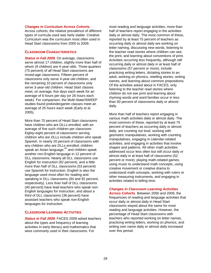#### *Changes in Curriculum Across Cohorts.*

Across cohorts, the relative prevalence of different types of curricula used was fairly stable. Creative Curriculum was the curriculum most often used in Head Start classrooms from 2000 to 2009.

#### **CLASSROOM CHARACTERISTICS**

*Status in Fall 2009.* On average, classrooms serve almost 17 children, slightly more than half of whom (9 children) are 4-year-olds. Three-quarters (75 percent) of all Head Start classrooms are mixed-age classrooms. Fifteen percent of classrooms only serve 4-year-old children, and the remaining 10 percent of classrooms only serve 3-year-old children. Head Start classes meet, on average, five days each week for an average of 6 hours per day (or 26 hours each week). For comparison, the Multi-State/SWEEP studies found prekindergarten classes meet an average of 25 hours each week (Early et al. 2005).

More than 70 percent of Head Start classrooms have children who are DLLs enrolled, with an average of five such children per classroom. Eighty-eight percent of classrooms serving children who are DLLs include children who speak Spanish. In nearly 20 percent of classrooms with any children who are DLLs enrolled, children speak an Asian language, <sup>60</sup> and children speak another non-English language in 12 percent of DLL classrooms. Nearly all DLL classrooms use English for instruction (92 percent), and a little more than half of DLL classrooms (53 percent) use Spanish for instruction. English is also the language used most often for reading and speaking in DLL classrooms (94 and 92 percent, respectively). Less than half of DLL classrooms (40 percent) have lead teachers who speak non-English languages for instruction, and about a third of DLL classrooms (36 percent) have assistant teachers who speak non-English languages for instruction.

## **CLASSROOM LEARNING ACTIVITIES**

*Status in Fall 2009.* FACES 2009 asked teachers about the types and frequency of learning activities in early literacy and mathematics that were commonly used in their classrooms. For

most reading and language activities, more than half of teachers report engaging in the activities daily or almost daily. The most common of these, reported by at least 75 percent of teachers as occurring daily or almost daily are working on letter naming, discussing new words, listening to the teacher read stories where children can see the print, and learning about conventions of print. Activities occurring less frequently, although still occurring daily or almost daily in at least half of classrooms (57 percent or more), include practicing writing letters, dictating stories to an adult, working on phonics, retelling stories, writing names, and learning about common prepositions. Of the activities asked about in FACES, only listening to the teacher read stories where children do not see print and learning about rhyming words and word families occur in less than 50 percent of classrooms daily or almost daily.

More than half of teachers report engaging in various math activities daily or almost daily. The most common of these, reported by at least 75 percent of teachers as occurring daily or almost daily, are counting out loud, working with geometric manipulatives, working with counting manipulatives, engaging in calendar-related activities, and engaging in activities that involve shapes and patterns. All other math activities addressed occur less often but still occur daily or almost daily in at least half of classrooms (52 percent or more): playing math-related games, using music to understand math concepts, using creative movement or creative drama to understand math concepts, working with rulers or other measuring instruments, and engaging in activities related to telling time.

*Changes in Classroom Learning Activities* 

*Across Cohorts.* Between 2000 and 2009, the frequencies of reading and language activities that occur daily or almost daily in Head Start classrooms stayed about the same for most reading and language activities. However, the percentage of Head Start classrooms with teachers who reported working on letter names, practicing writing letters, working on phonics, and writing own name daily or almost daily increased over this period.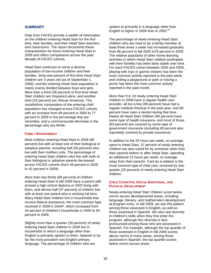## **SUMMARY**

Data from FACES provide a wealth of information on the children entering Head Start for the first time, their families, and their Head Start teachers and classrooms. The report documents these characteristics for those entering Head Start in 2009 and offers comparisons across the past decade of FACES cohorts.

Head Start continues to serve a diverse population of low-income children and their families. Sixty-one percent of first-time Head Start children are 3 years old (as of September 1, 2009), and the entering Head Start population is nearly evenly divided between boys and girls. More than a third (36 percent) of first-time Head Start children are Hispanic/Latino, and another third (33 percent) are African American. The racial/ethnic composition of the entering child population has changed across FACES cohorts, with an increase from 66 percent in 2000 to 77 percent in 2009 in the percentage that are minorities, and a commensurate decrease in the percentage who are White.

#### **FAMILY ENVIRONMENT**

Most children entering Head Start in 2009 (95 percent) live with at least one of their biological or adoptive parents, including half (50 percent) who live with their mothers only. The percentage of entering Head Start children who live with both of their biological or adoptive parents decreased across FACES cohorts (from 48 percent in 2000 to 42 percent in 2009).

More than two-thirds (68 percent) of children entering Head Start in fall 2009 have a parent with at least a high school diploma or GED living with them, and almost half (47 percent) of children live with at least one parent who is working full time. Many Head Start children live in households that receive federal assistance; the most common type received in 2009 is SNAP, which increased from 44 percent of children's households in 2000 to 64 percent in 2009.

Slightly more than a quarter (26 percent) of newly entering Head Start children in 2009 live in households in which a language other than English is primarily spoken to them. Spanish is by far the most prevalent non-English primary language. The percentage of children who are

spoken to primarily in a language other than English is higher in 2009 than in 2000. 61

The percentage of newly entering Head Start children who are read to by a family member at least three times a week has increased gradually, from 66 percent in fall 2000 to76 percent in 2009. The relative popularity of other home learning activities in which Head Start children participate with their families has been fairly stable over time. For each FACES cohort between 2000 and 2009, playing with toys or games indoors has been the most common activity reported in the past week, and visiting a playground or park or having a picnic has been the most common activity reported in the past month.

More than 9 in 10 newly entering Head Start children in 2009 have a regular health care provider, all but a few (99 percent) have had a regular medical checkup in the past year, and 88 percent have seen a dentist during that time. Nearly all Head Start children (96 percent) have some type of health insurance, and most of those (83 percent) are covered by some type of government insurance (including 48 percent also reportedly covered by private insurance).

In addition to the 25 hours per week, on average, spent in Head Start, 37 percent of newly entering children are also cared for by someone other than their parents before or after Head Start, spending an additional 15 hours per week, on average, away from their parents. Care by a relative is the most common type of child care, received by onequarter (25 percent) of newly entering Head Start children.

#### **CHILD COGNITIVE, SOCIAL-EMOTIONAL, AND PHYSICAL DEVELOPMENT**

Newly-entering Head Start children score below norms across developmental areas, including language, literacy, and mathematics development at program entry. In fall 2009, we see this pattern among those assessed in English, as well as those assessed in Spanish. We also see diversity in children's skills when they first enter the program, although this diversity is less pronounced among those who are assessed in Spanish. For example, although the top quartile of those assessed in English in fall 2009 scores above norms in many areas, among those assessed in Spanish, the top quartile scores below norms across areas.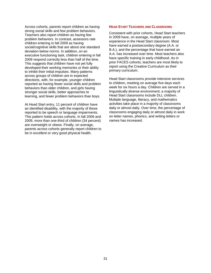Across cohorts, parents report children as having strong social skills and few problem behaviors. Teachers also report children as having few problem behaviors. In contrast, assessors rate children entering in fall 2009 as having social/cognitive skills that are about one standard deviation below norms. In addition, on an executive functioning task, children entering in fall 2009 respond correctly less than half of the time. This suggests that children have not yet fully developed their working memories or their ability to inhibit their initial impulses. Many patterns across groups of children are in expected directions, with, for example, younger children reported as having fewer social skills and problem behaviors than older children, and girls having stronger social skills, better approaches to learning, and fewer problem behaviors than boys.

At Head Start entry, 11 percent of children have an identified disability, with the majority of these reported to be speech or language impairments. This pattern holds across cohorts. In fall 2006 and 2009, more than one-third of children (34 percent) are overweight or obese. Finally, on average, parents across cohorts generally report children to be in excellent or very good physical health.

#### **HEAD START TEACHERS AND CLASSROOMS**

Consistent with prior cohorts, Head Start teachers in 2009 have, on average, multiple years of experience in the Head Start classroom. Most have earned a postsecondary degree (A.A. or B.A.), and the percentage that have earned an A.A. has increased over time. Most teachers also have specific training in early childhood. As in prior FACES cohorts, teachers are most likely to report using the Creative Curriculum as their primary curriculum.

Head Start classrooms provide intensive services to children, meeting on average five days each week for six hours a day. Children are served in a linguistically diverse environment; a majority of Head Start classrooms include DLL children. Multiple language, literacy, and mathematics activities take place in a majority of classrooms daily or almost daily. Over time, the percentage of classrooms engaging daily or almost daily in work on letter names, phonics, and writing letters or names has increased.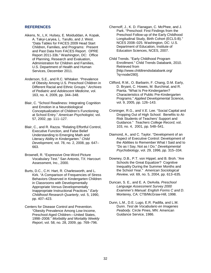## **REFERENCES**

- Aikens, N., L.K. Hulsey, E. Moiduddan, A. Kopak, A. Takyi-Laryea, L. Tarullo, and J. West. "Data Tables for FACES 2009 Head Start Children, Families, and Programs: Present and Past Data from FACES Report. OPRE Report 2011-33b." Washington, DC: Office of Planning, Research and Evaluation, Administration for Children and Families, U.S. Department of Health and Human Services, December 2011.
- Anderson, S.E., and R.C. Whitaker. "Prevalence of Obesity Among U.S. Preschool Children in Different Racial and Ethnic Groups." *Archives of Pediatric and Adolescent Medicine*, vol. 163, no. 4, 2009, pp. 344–348.
- Blair, C. "School Readiness: Integrating Cognition and Emotion in a Neurobiological Conceptualization of Children's Functioning at School Entry." *American Psychologist,* vol. 57, 2002, pp. 111–127.
- Blair, C., and R. Razza. "Relating Effortful Control, Executive Function, and False Belief Understanding to Emerging Math and Literacy Ability in Kindergarten." *Child Development,* vol. 78, no. 2, 2008, pp. 647– 663.
- Brownell, R. "Expressive One-Word Picture Vocabulary Test." San Antonio, TX: Harcourt Assessment, Inc., 2000.
- Burts, D.C., C.H. Hart, R. Charlesworth, and L. Kirk. "A Comparison of Frequencies of Stress Behaviors Observed in Kindergarten Children in Classrooms with Developmentally Appropriate Versus Developmentally Inappropriate Instructional Practices." *Early Childhood Research Quarterly*, vol. 5, 1990, pp. 407–423.
- Centers for Disease Control and Prevention. "Obesity Prevalence Among Low-Income, Preschool-Aged Children—United States, 1998–2008." *Morbidity and Mortality Weekly Report*, vol. 58, no. 28, 2009, pp. 769–796.
- Chernoff, J., K. D. Flanagan, C. McPhee, and J. Park. "Preschool: First Findings from the Preschool Follow-up of the Early Childhood Longitudinal Study, Birth Cohort (ECLS-B)." NCES 2008–025. Washington, DC: U.S. Department of Education, Institute of Education Sciences, NCES, 2007.
- Child Trends. "Early Childhood Program Enrollment." Child Trends Databank, 2010. Retrieved from [http://www.childtrendsdatabank.org/ ?q=node/280].
- Clifford, R.M., O. Barbarin, F. Chang, D.M. Early, D. Bryant, C. Howes, M. Burchinal, and R. Pianta. "What Is Pre-Kindergarten? Characteristics of Public Pre-Kindergarten Programs." *Applied Developmental Science*, vol. 9, 2005, pp. 126–143.
- Croninger, R.G., and V.E. Lee. "Social Capital and Dropping Out of High School: Benefits to At-Risk Students of Teachers' Support and Guidance." *Teachers College Record*, vol. 103, no. 4, 2001, pp. 548–541.
- Diamond, A., and C. Taylor. "Development of an Aspect of Executive Control: Development of the Abilities to Remember What I Said and to "Do as I Say, Not as I Do." *Developmental Psychobiology*, vol. 29, 1996, pp. 315–334.
- Downey, D.B., P.T. von Hippel, and B. Broh. "Are Schools the Great Equalizer? Cognitive Inequality During the Summer Months and the School Year." *American Sociological Review,* vol. 69, no. 5, 2004, pp. 613–635.
- Duncan, S. E., and E. A. DeAvila. *Preschool Language Assessment Survey 2000 Examiner's Manual: English Forms C and D.*  Monterey, CA: CTB/McGraw-Hill, 1998.
- Dunn, L.M., D.E. Lugo, E.R. Padilla, and L.M. Dunn. *Test de Vocabulario en Imagenes Peabody.* Circle Pines, MN: American Guidance Service, 1986.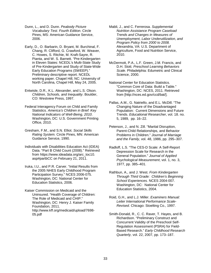Dunn, L., and D. Dunn. *Peabody Picture Vocabulary Test. Fourth Edition*. Circle Pines, MS: American Guidance Service, 2006.

- Early, D., O. Barbarin, D. Bryant, M. Burchinal, F. Chang, R. Clifford, G. Crawford, W. Weaver, C. Howes, S. Ritchie, M. Kraft-Sayre, R. Pianta, and W. S. Barnett. "Pre-Kindergarten in Eleven States: NCEDL's Multi-State Study of Pre-Kindergarten and Study of State-Wide Early Education Programs (SWEEP)." Preliminary descriptive report. NCEDL working paper. Chapel Hill, NC: University of North Carolina, Chapel Hill, May 24, 2005.
- Entwisle, D.R., K.L. Alexander, and L.S. Olson. *Children, Schools, and Inequality*. Boulder, CO: Westview Press, 1997.
- Federal Interagency Forum on Child and Family Statistics. *America's Children in Brief: Key National Indicators of Well-Being, 2010*. Washington, DC: U.S. Government Printing Office, 2010.
- Gresham, F.M., and S.N. Elliot. *Social Skills Rating System.* Circle Pines, MN: American Guidance Service, 1990.
- Individuals with Disabilities Education Act (IDEA) Data. "Part B Child Count (2008)." Retrieved from https://www.ideadata.org/arc\_toc10. asp#partbCC on February 21, 2011.
- Iruka, I.U., and P.R. Carver. "Initial Results from the 2005 NHES Early Childhood Program Participation Survey." NCES 2006-075. Washington, DC: National Center for Education Statistics, 2006.
- Kaiser Commission on Medicaid and the Uninsured. "Health Coverage of Children: The Role of Medicaid and CHIP." Washington, DC: Henry J. Kaiser Family Foundation, 2011. http://www.kff.org/medicaid/upload/7698- 05.pdf

Mabli, J., and C. Ferrerosa. *Supplemental Nutrition Assistance Program Caseload Trends and Changes in Measures of Unemployment, Labor Underutilization, and Program Policy from 2000 to 2008.* Alexandria, VA: U.S. Department of Agriculture, Food and Nutrition Service, 2010.

- McDermott, P.A., L.F. Green, J.M. Francis, and D.H. Stott. *Preschool Learning Behaviors Scale.* Philadelphia: Edumetric and Clinical Science, 2000.
- National Center for Education Statistics. "Common Core of Data: Build a Table." Washington, DC: NCES, 2011. Retrieved from [http://nces.ed.gov/ccd/bat/].
- Pallas, A.M., G. Natriello, and E.L. McDill. "The Changing Nature of the Disadvantaged Population: Current Dimensions and Future Trends. *Educational Researcher*, vol. 18. no. 5, 1989, pp. 16–22.
- Peterson, J., and N. Zill. "Marital Disruption, Parent-Child Relationships, and Behavior Problems in Children." *Journal of Marriage and the Family*, vol. 48, 1986, pp. 295–307.
- Radloff, L.S. "The CES-D Scale: A Self-Report Depression Scale for Research in the General Population." *Journal of Applied Psychological Measurement*, vol. 1, no. 3, 1977, pp. 385–401.
- Rathbun, A., and J. West. *From Kindergarten Through Third Grade: Children's Beginning School Experiences.* NCES 2004-007. Washington, DC: National Center for Education Statistics, 2004.
- Roid, G.H., and L.J. Miller. *Examiners Manual: Leiter International Performance Scale-Revised*. Chicago: Stoelting Co., 1997.
- Smith-Donald, R., C. C. Raver, T. Hayes, and B. Richardson. "Preliminary Construct and Concurrent Validity of the Preschool Self-Regulation Assessment (PSRA) for Field-Based Research." *Early Childhood Research Quarterly,* vol. 22, 2007, pp. 173–187.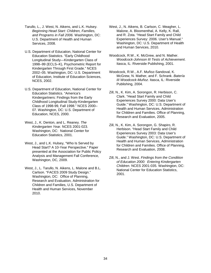- Tarullo, L., J. West, N. Aikens, and L.K. Hulsey. *Beginning Head Start: Children, Families, and Programs in Fall 2006.* Washington, DC: U.S. Department of Health and Human Services, 2008.
- U.S. Department of Education, National Center for Education Statistics. "Early Childhood Longitudinal Study—Kindergarten Class of 1998–99 (ECLS–K), Psychometric Report for Kindergarten Through First Grade." NCES 2002–05. Washington, DC: U.S. Department of Education, Institute of Education Sciences, NCES, 2002.
- U.S. Department of Education, National Center for Education Statistics. "America's Kindergartners: Findings from the Early Childhood Longitudinal Study-Kindergarten Class of 1998-99, Fall 1998." NCES 2000– 07. Washington, DC: U.S. Department of Education, NCES, 2000.
- West, J., K. Denton, and L. Reaney. *The Kindergarten Year.* NCES 2001-023. Washington, DC: National Center for Education Statistics, 2001.
- West, J., and L.K. Hulsey, "Who Is Served by Head Start? A 10-Year Perspective." Paper presented at the Association for Public Policy Analysis and Management Fall Conference, Washington, DC, 2009.
- West, J., L. Tarullo, N. Aikens, L. Malone and B.L. Carlson. "FACES 2009 Study Design." Washington, DC: Office of Planning, Research and Evaluation, Administration for Children and Families, U.S. Department of Health and Human Services, November 2010.
- West, J., N. Aikens, B. Carlson, C. Meagher, L. Malone, A. Bloomenthal, A. Kelly, K. Rall, and R. Zota. "Head Start Family and Child Experiences Survey: 2006. User's Manual." Washington, DC: U.S. Department of Health and Human Services, 2010.
- Woodcock, R.W., K. McGrew, and N. Mather. *Woodcock-Johnson III Tests of Achievement*. Itasca, IL: Riverside Publishing, 2001.
- Woodcock, R.W., A.F. Muñoz-Sandoval, K. McGrew, N. Mather, and F. Schrank. *Batería III Woodcock-Muñoz*. Itasca, IL: Riverside Publishing, 2004.
- Zill, N., K. Kim, A. Sorongon, R. Herbison, C. Clark. "Head Start Family and Child Experiences Survey 2000: Data User's Guide." Washington, DC: U.S. Department of Health and Human Services, Administration for Children and Families. Office of Planning, Research and Evaluation, 2005.
- Zill, N., K. Kim, A. Sorongon, G. Shapiro, R. Herbison. "Head Start Family and Child Experiences Survey 2003: Data User's Guide." Washington, DC: U.S. Department of Health and Human Services, Administration for Children and Families. Office of Planning, Research and Evaluation, 2008.
- Zill, N., and J. West. *Findings from the Condition of Education 2000: Entering Kindergarten Children.* NCES 2001-035. Washington, DC: National Center for Education Statistics, 2001.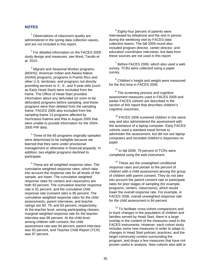## **NOTES**

<sup>1</sup> Observations of classroom quality are administered in the spring data collection waves, and are not included in this report.

 $2$  For detailed information on the FACES 2009 study design and measures, see West, Tarullo et al. 2010.

<sup>3</sup> Migrant and Seasonal Worker programs (MSHS), American Indian and Alaska Native (AI/AN) programs, programs in Puerto Rico and other U.S. territories, and programs not directly providing services to 3-, 4-, and 5-year-olds (such as Early Head Start) were excluded from the frame. The Office of Head Start provided information about any defunded (or soon-to-be defunded) programs before sampling, and these programs were then deleted from the sampling frame. FACES 2006 also excluded from the sampling frame 13 programs affected by Hurricanes Katrina and Rita in August 2005 that were unable to provide information for the 2004– 2005 PIR data.

 $4$  Three of the 65 programs originally sampled were determined to be ineligible because we learned that they were under provisional management or otherwise in financial jeopardy. In addition, two eligible programs declined to participate.

<sup>5</sup> These are all weighted response rates. The cumulative weighted response rates, which take into account the response rate for all levels of the sample, are lower. The cumulative weighted response rates for centers and classrooms are both 93 percent. The cumulative teacher response rate is 91 percent, and the cumulative child response rate (consent rate) is 85 percent. The cumulative weighted response rates for the child assessments, parent interviews, and teacher ratings are 80, 79, and 83 percent, respectively. At the teacher level, among participating classes, marginal weighted response rate for the teacher interview was 99 percent. At the child level, among children with consent, the child assessment rate was 94 percent, parent interview was 93 percent, and Teacher Child Report (TCR) was 97 percent.

 $6$  Eighty-four percent of parents were interviewed by telephone and the rest in person during the weeklong visit by FACES data collection teams. The fall 2009 round also included program director, center director, and education coordinator interviews, but data from these sources are not used in this report.

 $7$  Before FACES 2006, which also used a web survey, TCRs were collected using a paper survey.

<sup>8</sup> Children's height and weight were measured for the first time in FACES 2006.

 $9$  The screening process and cognitive assessment measures used in FACES 2009 and earlier FACES cohorts are described in the section of this report that describes children's cognitive outcomes.

<sup>10</sup> FACES 2006 screened children in the same way and also administered the assessment with the assistance of a laptop computer. Early FACES cohorts used a standard easel format to administer the assessment, but did not use laptop computers and recorded children's responses on paper.

 $11$  In fall 2009, 79 percent of TCRs were completed using the web instrument.

 $12$  These are the unweighted conditional response rates and pertain to the percent of children with a child assessment among the group of children with parent consent. They do not take into account the parent consent rate or participate rates for prior stages of sampling (for example, programs, centers, classrooms), which would lower the overall response rate. For example, in FACES 2006, overall unweighted response rate for the child assessment is 84 percent.

 $13$  To facilitate cross-cohort comparisons and to track changes in the population of children and families served by Head Start, there is a large overlap in the content of the measures used in the FACES instruments. However, each cohort study includes some new measures in order to adapt to changes in Head Start policies, practices, and the larger community context surrounding the program, and drops a few measures that have not proven useful in analysis. New cohorts also add or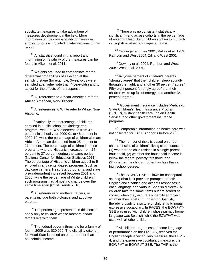substitute measures to take advantage of measures development in the field. More information on the comparability of measures across cohorts is provided in later sections of this report.

<sup>14</sup> All statistics found in this report and information on reliability of the measures can be found in Aikens et al. 2011.

<sup>15</sup> Weights are used to compensate for the differential probabilities of selection at the sampling stage (for example, 3-year-olds were sampled at a higher rate than 4-year-olds) and to adjust for the effects of nonresponse.

<sup>16</sup> All references to African American refer to African American, Non-Hispanic.

<sup>17</sup> All references to White refer to White, Non-Hispanic.

<sup>18</sup> Nationally, the percentage of children enrolled in public school prekindergarten programs who are White decreased from 47 percent in school year 2000-01 to 46 percent in 2009-10, while the percentage of children who are African American decreased from 25 percent to 21 percent. The percentage of children in these programs who are Hispanic increased from 24 percent to 27 percent during the same period (National Center for Education Statistics 2011). The percentage of Hispanic children ages 3 to 5 enrolled in any center-based programs (such as day care centers, Head Start programs, and state prekindergarten) increased between 2001 and 2006, while the percentage of White children in such programs had almost no change over the same time span (Child Trends 2010).

<sup>19</sup> All references to mothers, fathers, or parents include both biological and adoptive parents.

 $20$  The percentages presented in this section apply only to children whose mothers and/or fathers live with them.

 $21$  The federal poverty threshold for a family of four in 2009 was \$20,050. The eligibility criterion for Head Start is based on parent, rather than household, income.

 $22$  There was no consistent statistically significant trend across cohorts in the percentage of entering Head Start children spoken to primarily in English or other languages at home.

 $23$  Croninger and Lee 2001; Pallas et al. 1989; Rathbun and West 2004; Zill and West 2001.

<sup>24</sup> Downey et al. 2004; Rathbun and West 2004; West et al. 2001.

 $^{25}$ Sixty-five percent of children's parents "strongly agree" that their children sleep soundly through the night, and another 30 percent "agree." Fifty-eight percent "strongly agree" that their children wake up full of energy, and another 34 percent "agree."

<sup>26</sup> Government insurance includes Medicaid. State Children's Health Insurance Program (SCHIP), military health care, Indian Health Service, and other government insurance programs.

<sup>27</sup> Comparable information on health care was not collected for FACES cohorts before 2006.

<sup>28</sup> The number of risks is based on three characteristics of children's living circumstances: (1) whether the child resides in a single-parent household, (2) whether the household income is below the federal poverty threshold, and (3) whether the child's mother has less than a high school degree.

<sup>29</sup> The EOWPVT-SBE allows for conceptual scoring (that is, it provides prompts for both English and Spanish and accepts responses in each language and various Spanish dialects). All children take the same items but are scored as correct when they accurately identify an object, whether they label it in English or Spanish, thereby providing a picture of children's bilingual expressive vocabulary. In FACES, the EOWPVT-SBE was used with children whose primary home language was Spanish, while the EOWPVT was used with all other children.

<sup>30</sup> All children, regardless of home language or performance on the Pre-LAS, received the English receptive vocabulary measure, the PPVT-4, and the expressive vocabulary measure, the EOWPVT or EOWPVT-SBE. The TVIP is the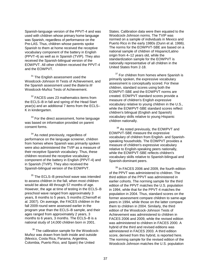Spanish-language version of the PPVT-4 and was used with children whose primary home language was Spanish, regardless of performance on the Pre-LAS. Thus, children whose parents spoke Spanish to them at home received the receptive vocabulary component of the battery in English (PPVT-4) as well as in Spanish (TVIP). They also received the Spanish-bilingual version of the EOWPVT. All other children received the PPVT-4 and the EOWPVT.

<sup>31</sup> The English assessment used the Woodcock-Johnson III Tests of Achievement, and the Spanish assessment used the *Batería III* Woodcock-Muñoz Tests of Achievement.

<sup>32</sup> FACES uses 23 mathematics items from the ECLS–B in fall and spring of the Head Start year(s) and an additional 7 items from the ECLS– K in kindergarten.

<sup>33</sup> For the direct assessment, home language was based on information provided on parent consent forms.

<sup>34</sup> As noted previously, regardless of performance on the language screener, children from homes where Spanish was primarily spoken were also administered the TVIP as a measure of their receptive Spanish vocabulary. Thus, these children received the receptive vocabulary component of the battery in English (PPVT-4) and in Spanish (TVIP). They also received the Spanish-bilingual version of the EOWPVT.

<sup>35</sup> The ECLS-B preschool wave was intended to assess children in the fall, when most children would be about 48 through 57 months of age. However, the age at time of testing in the ECLS–B preschool wave ranged from approximately 3 years, 8 months to 5 years, 5 months (Chernoff et al. 2007). On average, the FACES children in the fall 2009 round were assessed earlier in the program year than the ECLS–B sample, and their ages ranged from approximately 2 years, 3 months to 6 years, 3 months. The ECLS–B is a national study of 14,000 children born in 2001.

<sup>36</sup> The calibration sample for the Woodcock-Muñoz was drawn from both inside and outside (Mexico, Costa Rica, Panama, Argentina, Colombia, Puerto Rico, and Spain) the United

States. Calibration data were then equated to the Woodcock-Johnson norms. The TVIP was normed on a sample of individuals in Mexico and Puerto Rico in the early 1980s (Dunn et al. 1986). The norms for the EOWPVT-SBE are based on a national sample of children of Hispanic/Latino origin from 4–12 years old, while the standardization sample for the EOWPVT is nationally representative of all children in the United States from 2-18.

 $37$  For children from homes where Spanish is primarily spoken, the expressive vocabulary assessment is conceptually scored. For these children, standard scores using both the EOWPVT-SBE and the EOWPVT norms are created. EOWPVT standard scores provide a measure of children's English expressive vocabulary relative to young children in the U.S., while the EOWPVT-SBE standard scores reflect children's bilingual (English and Spanish) vocabulary skills relative to young Hispanic children nationally.

<sup>38</sup> As noted previously, the EOWPVT and EOWPVT-SBE measure the expressive vocabulary of children from English- and Spanishspeaking households. The EOWPVT provides a measure of children's expressive vocabulary relative to English-speaking peers nationally, while the EOWPVT-SBE reflects children's vocabulary skills relative to Spanish-bilingual and Spanish-dominant peers.

 $39$  In FACES 2006 and 2009, the fourth edition of the PPVT was administered to children. The third edition of the PPVT was administered in earlier cohorts. The norming sample for the third edition of the PPVT matches the U.S. population in 1994, while that for the PPVT-4 matches the population in 2004. Thus, standard scores on the former assessment compare children to same-age peers in 1994, while those on the latter compare them to children in 2004. Similarly, the third edition of the Woodcock-Johnson Tests of Achievement was administered to children in FACES 2006 and 2009, while the revised edition was administered to children in FACES 2000. A hybrid of the third and revised editions was administered in FACES 2003. A third edition score, derived from this hybrid, is reported here. The norming sample for the revised edition of the Woodcock-Johnson matches the U.S. population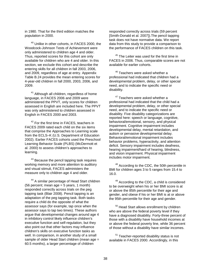in 1980. That for the third edition matches the population in 2000.

<sup>40</sup> Unlike in other cohorts, in FACES 2000, the Woodcock-Johnson Tests of Achievement were only administered to children age 4 and older. Thus, reported scores for this cohort are only available for children who are 4 and older. In this section, we exclude this cohort and describe the entering skills for all children in fall 2003, 2006, and 2009, regardless of age at entry. Appendix Table B.24 provides the mean entering scores for 4-year-old children in fall 2000, 2003, 2006, and 2009.

<sup>41</sup> Although all children, regardless of home language, in FACES 2006 and 2009 were administered the PPVT, only scores for children assessed in English are included here. The PPVT was only administered to children assessed in English in FACES 2000 and 2003.

 $42$  For the first time in FACES, teachers in FACES 2009 rated each child on the six items that comprise the Approaches to Learning scale from the ECLS–K (U.S. Department of Education 2002). Earlier FACES cohorts used the Preschool Learning Behavior Scale (PLBS) (McDermott et al. 2000) to assess children's approaches to learning.

<sup>43</sup> Because the pencil tapping task requires working memory and more attention to auditory and visual stimuli, FACES administers the measure only to children age 4 and older.

<sup>44</sup> A similar percentage of Head Start children (56 percent; mean age  $=$  5 years, 1 month) responded correctly across trials on the peg tapping task (Blair 2008). Pencil tapping is an adaptation of the peg tapping task. Both tasks require a child do the opposite of what the assessor says (for example, tap once when the assessor says to tap two times). These authors argue that developmental changes around age 4 in inhibitory control likely influence children's executive function and self-regulation, but they also point out that other factors may influence children's skills on executive function tasks as well. In comparison, in another study of a small sample of older Head Start children (mean age = 60.5 months), a larger percentage of children

responded correctly across trials (59 percent [Smith-Donald et al. 2007]).The pencil tapping task does not have normative data. We report data from this study to provide a comparison to the performance of FACES children on this task.

 $45$  The Leiter was used for the first time in FACES in 2006. Thus, comparable scores are not available for earlier cohorts.

<sup>46</sup> Teachers were asked whether a professional had indicated that children had a developmental problem, delay, or other special need, and to indicate the specific need or disability.

 $47$  Teachers were asked whether a professional had indicated that the child had a developmental problem, delay, or other special need, and to indicate the specific need or disability. Five disability categorizations are reported here: speech or language, cognitive, behavioral/emotional, sensory, and physical impairment. Cognitive impairment includes developmental delay, mental retardation, and autism or pervasive developmental delay. Behavioral/emotional impairment includes behavior problems, hyperactivity, and attention deficit. Sensory impairment includes deafness, hearing impairment/hard of hearing, blindness, and vision impairment. Physical impairment includes motor impairment.

 $48$  According to the CDC, the 50th percentile in BMI for children ages 3 to 5 ranges from 15.4 to 16.0.

 $49$  According to the CDC, a child is considered to be overweight when his or her BMI score is at or above the 85th percentile for their age and gender, and obese if his or her BMI is at or above the 95th percentile for their age and gender.

 $50$  Head Start allows enrollment by children who are above the federal poverty level if they have a diagnosed disability. Forty-three percent of those with a disability have household incomes at or above the federal poverty line, while 36 percent of those without a disability have similar incomes.

<sup>51</sup> Teacher-reported disability status is not available in FACES 2000. Accordingly, in this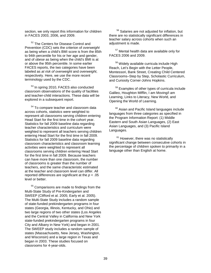section, we only report this information for children in FACES 2003, 2006, and 2009.

52 The Centers for Disease Control and Prevention (CDC) sets the criterion of *overweight*  as being when a child's BMI score is from the 85th to 94th percentile for his or her age and gender, and of *obese* as being when the child's BMI is at or above the 95th percentile. In some earlier FACES reports, the two categories have been labeled as *at risk of overweight* and *overweight*, respectively. Here, we use the more recent terminology used by the CDC.

53 In spring 2010, FACES also conducted classroom observations of the quality of facilities and teacher-child interactions. These data will be explored in a subsequent report.

<sup>54</sup> To compare teacher and classroom data across cohorts, statistics were weighted to represent all classrooms serving children entering Head Start for the first time in the cohort year. Statistics for fall 2009 baseline data regarding teacher characteristics and curriculum were weighted to represent all teachers serving children entering Head Start for the first time in fall 2009. Statistics for fall 2009 baseline data regarding classroom characteristics and classroom learning activities were weighted to represent all classrooms serving children entering Head Start for the first time in fall 2009. Because teachers can have more than one classroom, the number of classrooms is greater than the number of teachers, and the same characteristic estimated at the teacher and classroom level can differ. All reported differences are significant at the *p* < .05 level or better.

<sup>55</sup> Comparisons are made to findings from the Multi-State Study of Pre-Kindergarten and SWEEP (Clifford et al. 2005; Early et al. 2005). The Multi-State Study includes a random sample of state-funded prekindergarten programs in four states (Georgia, Illinois, Kentucky, and Ohio) and two large regions of two other states (Los Angeles and the Central Valley in California and New York state-funded prekindergarten programs in four City and Albany in New York) and began in 2001. The SWEEP study includes a random sample of states (Massachusetts, New Jersey, Washington, and Wisconsin) and a large region in Texas and began in 2003. These studies focused on classrooms for 4-year-olds.

 $56$  Salaries are not adjusted for inflation, but there are no statistically significant differences in teacher salary across cohorts when such an adjustment is made.

<sup>57</sup> Mental health data are available only for FACES 2006 and 2009.

<sup>58</sup> Widely available curricula include High Reach, Let's Begin with the Letter People, Montessori, Bank Street, Creating Child Centered Classrooms–Step by Step, Scholastic Curriculum, and Curiosity Corner-Johns Hopkins.

59 Examples of other types of curricula include Galileo, Houghton Mifflin, I am Moving/I am Learning, Links to Literacy, New World, and Opening the World of Learning.

<sup>60</sup> Asian and Pacific Island languages include languages from three categories as specified in the Program Information Report: (1) Middle Eastern and South Asian Languages, (2) East Asian Languages, and (3) Pacific Island Languages.

 $61$  However, there was no statistically significant change between consecutive cohorts in the percentage of children spoken to primarily in a language other than English at home.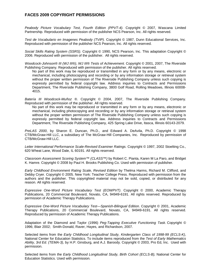## **FACES 2009 COPYRIGHT PERMISSIONS**

*Peabody Picture Vocabulary Test, Fourth Edition (PPVT-4).* Copyright © 2007, Wascana Limited Partnership. Reproduced with permission of the publisher NCS Pearson, Inc. All rights reserved.

*Test de Vocabulario en Imagenes Peabody (TVIP).* Copyright © 1987, Dunn Educational Services, Inc. Reproduced with permission of the publisher NCS Pearson, Inc. All rights reserved.

*Social Skills Rating System (SSRS).* Copyright © 1990, NCS Pearson, Inc. This adaptation Copyright © 2006. Reproduced with permission of the publisher. All rights reserved.

*Woodcock-Johnson® III (WJ III®)*, *WJ III*® *Tests of Achievement.* Copyright © 2001, 2007, The Riverside Publishing Company. Reproduced with permission of the publisher. All rights reserved.

No part of this work may be reproduced or transmitted in any form or by any means, electronic or mechanical, including photocopying and recording or by any information storage or retrieval system without the proper written permission of The Riverside Publishing Company unless such copying is expressly permitted by federal copyright law. Address inquiries to Contracts and Permissions Department, The Riverside Publishing Company, 3800 Golf Road, Rolling Meadows, Illinois 60008- 4015.

*Batería III Woodcock-Muñoz ®.* Copyright © 2004, 2007, The Riverside Publishing Company. Reproduced with permission of the publisher. All rights reserved.

No part of this work may be reproduced or transmitted in any form or by any means, electronic or mechanical, including photocopying and recording or by any information storage or retrieval system without the proper written permission of The Riverside Publishing Company unless such copying is expressly permitted by federal copyright law. Address inquiries to Contracts and Permissions Department, The Riverside Publishing Company, 425 Spring Lake Drive, Itasca, Illinois 60143-2079.

*PreLAS 2000*, by Sharon E. Duncan, Ph.D., and Edward A. DeAvila, Ph.D. Copyright © 1998 CTB/McGraw-Hill LLC, a subsidiary of The McGraw-Hill Companies, Inc. Reproduced by permission of CTB/McGraw-Hill LLC.

*Leiter International Performance Scale-Revised Examiner Ratings.* Copyright © 1997, 2002 Stoelting Co., 620 Wheat Lane, Wood Dale, IL 60191. All rights reserved.

*Classroom Assessment Scoring System*™ *(CLASS™)* by Robert C. Pianta, Karen M La Paro, and Bridget K. Hamre. Copyright © 2008 by Paul H. Brooks Publishing Co. Used with permission of publisher.

*Early Childhood Environment Rating Scale, Revised Edition* by Thelma Harms, Richard M. Clifford, and Debby Cryer. Copyright © 2005. New York: Teacher College Press. Reproduced with permission from the authors and the publisher. This copyrighted material may not be sold, copied, or distributed for any reason. All rights reserved.

*Expressive One-Word Picture Vocabulary Test (EOWPVT)*. Copyright © 2000, Academic Therapy Publications, 20 Commercial Boulevard, Novato, CA, 94949-6191. All rights reserved. Reproduced by permission of Academic Therapy Publications.

*Expressive One-Word Picture Vocabulary Test—Spanish-Bilingual Edition*. Copyright © 2001, Academic Therapy Publications, 20 Commercial Boulevard, Novato, CA, 94949-6191. All rights reserved. Reproduced by permission of Academic Therapy Publications.

Adaptation of the Diamond and Taylor (1996) *Peg-Tapping Executive Functioning Task*. Copyright © 1996; Blair 2002; Smith-Donald, Raver, Hayes, and Richardson, 2007.

Selected items from the *Early Childhood Longitudinal Study, Kindergarten Class of 1998-99 (ECLS-K)*, National Center for Education Statistics. To include items reproduced from the *Test of Early Mathematics Ability, 3rd Ed. (TEMA-3),* by H.P. Ginsburg, and A.J. Baroody. Copyright © 2003, Pro Ed, Inc.Used with permission.

Selected items from the *Early Childhood Longitudinal Study, Birth Cohort (ECLS-B),* National Center for Education Statistics. Used with permission.